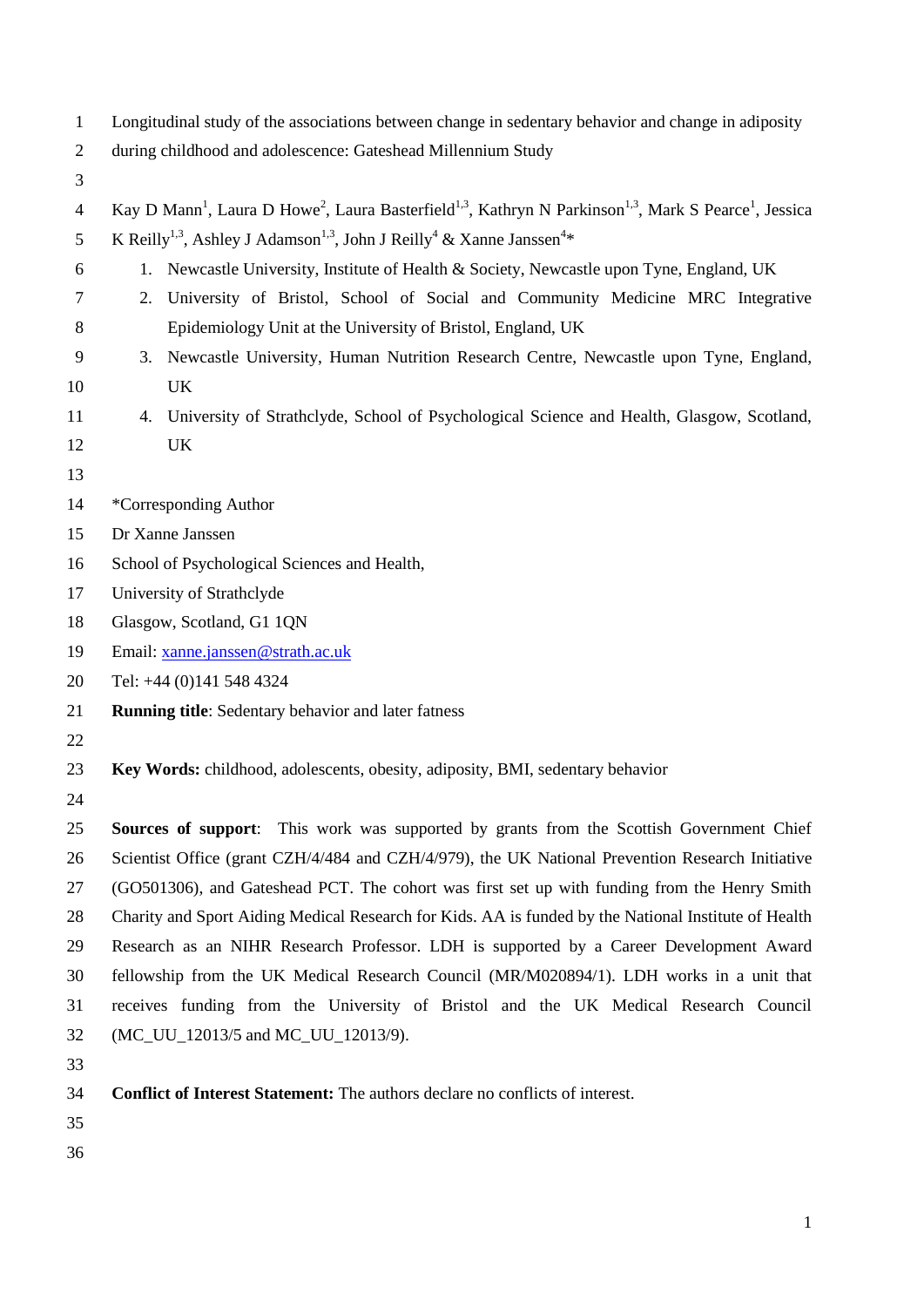| Longitudinal study of the associations between change in sedentary behavior and change in adiposity |  |  |  |
|-----------------------------------------------------------------------------------------------------|--|--|--|
|                                                                                                     |  |  |  |

- during childhood and adolescence: Gateshead Millennium Study
- 

| Kay D Mann <sup>1</sup> , Laura D Howe <sup>2</sup> , Laura Basterfield <sup>1,3</sup> , Kathryn N Parkinson <sup>1,3</sup> , Mark S Pearce <sup>1</sup> , Jessica |
|--------------------------------------------------------------------------------------------------------------------------------------------------------------------|
| 5 K Reilly <sup>1,3</sup> , Ashley J Adamson <sup>1,3</sup> , John J Reilly <sup>4</sup> & Xanne Janssen <sup>4</sup> *                                            |

- 1. Newcastle University, Institute of Health & Society, Newcastle upon Tyne, England, UK
- 2. University of Bristol, School of Social and Community Medicine MRC Integrative Epidemiology Unit at the University of Bristol, England, UK
- 3. Newcastle University, Human Nutrition Research Centre, Newcastle upon Tyne, England, UK
- 4. University of Strathclyde, School of Psychological Science and Health, Glasgow, Scotland,
- UK
- 
- \*Corresponding Author
- Dr Xanne Janssen
- School of Psychological Sciences and Health,
- University of Strathclyde
- Glasgow, Scotland, G1 1QN
- Email: [xanne.janssen@strath.ac.uk](mailto:xanne.janssen@strath.ac.uk)
- Tel: +44 (0)141 548 4324
- **Running title**: Sedentary behavior and later fatness
- 
- **Key Words:** childhood, adolescents, obesity, adiposity, BMI, sedentary behavior
- 

 **Sources of support**: This work was supported by grants from the Scottish Government Chief Scientist Office (grant CZH/4/484 and CZH/4/979), the UK National Prevention Research Initiative (GO501306), and Gateshead PCT. The cohort was first set up with funding from the Henry Smith Charity and Sport Aiding Medical Research for Kids. AA is funded by the National Institute of Health Research as an NIHR Research Professor. LDH is supported by a Career Development Award fellowship from the UK Medical Research Council (MR/M020894/1). LDH works in a unit that receives funding from the University of Bristol and the UK Medical Research Council (MC\_UU\_12013/5 and MC\_UU\_12013/9).

- 
- **Conflict of Interest Statement:** The authors declare no conflicts of interest.
- 
-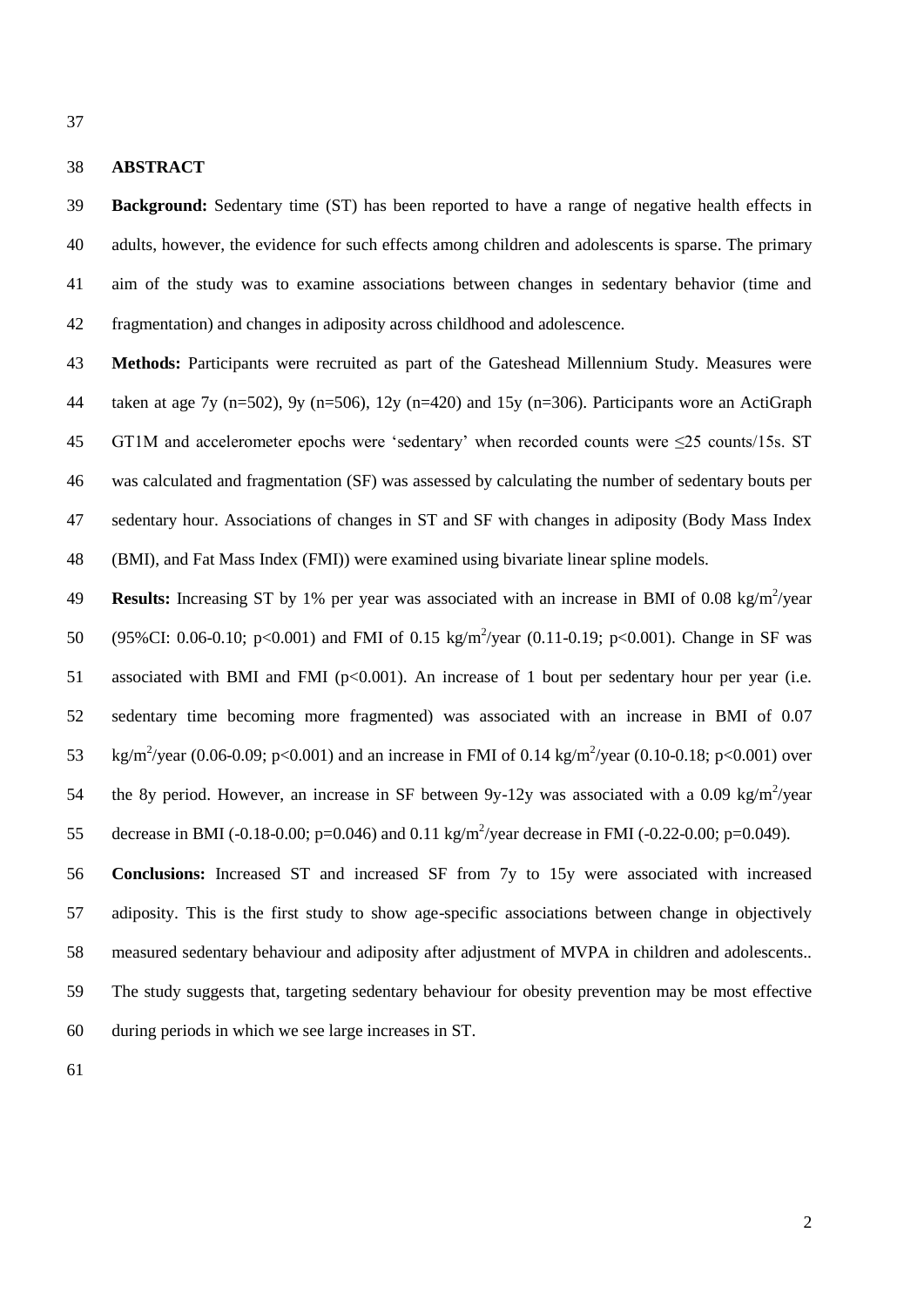# **ABSTRACT**

 **Background:** Sedentary time (ST) has been reported to have a range of negative health effects in adults, however, the evidence for such effects among children and adolescents is sparse. The primary aim of the study was to examine associations between changes in sedentary behavior (time and fragmentation) and changes in adiposity across childhood and adolescence.

 **Methods:** Participants were recruited as part of the Gateshead Millennium Study. Measures were taken at age 7y (n=502), 9y (n=506), 12y (n=420) and 15y (n=306). Participants wore an ActiGraph GT1M and accelerometer epochs were 'sedentary' when recorded counts were ≤25 counts/15s. ST was calculated and fragmentation (SF) was assessed by calculating the number of sedentary bouts per sedentary hour. Associations of changes in ST and SF with changes in adiposity (Body Mass Index (BMI), and Fat Mass Index (FMI)) were examined using bivariate linear spline models.

49 **Results:** Increasing ST by 1% per year was associated with an increase in BMI of 0.08 kg/m<sup>2</sup>/year 50 (95%CI: 0.06-0.10; p<0.001) and FMI of 0.15 kg/m<sup>2</sup>/year (0.11-0.19; p<0.001). Change in SF was 51 associated with BMI and FMI (p<0.001). An increase of 1 bout per sedentary hour per year (i.e. sedentary time becoming more fragmented) was associated with an increase in BMI of 0.07 53 kg/m<sup>2</sup>/year (0.06-0.09; p<0.001) and an increase in FMI of 0.14 kg/m<sup>2</sup>/year (0.10-0.18; p<0.001) over 54 the 8y period. However, an increase in SF between 9y-12y was associated with a 0.09 kg/m<sup>2</sup>/year 55 decrease in BMI (-0.18-0.00; p=0.046) and 0.11 kg/m<sup>2</sup>/year decrease in FMI (-0.22-0.00; p=0.049).

 **Conclusions:** Increased ST and increased SF from 7y to 15y were associated with increased adiposity. This is the first study to show age-specific associations between change in objectively measured sedentary behaviour and adiposity after adjustment of MVPA in children and adolescents.. The study suggests that, targeting sedentary behaviour for obesity prevention may be most effective during periods in which we see large increases in ST.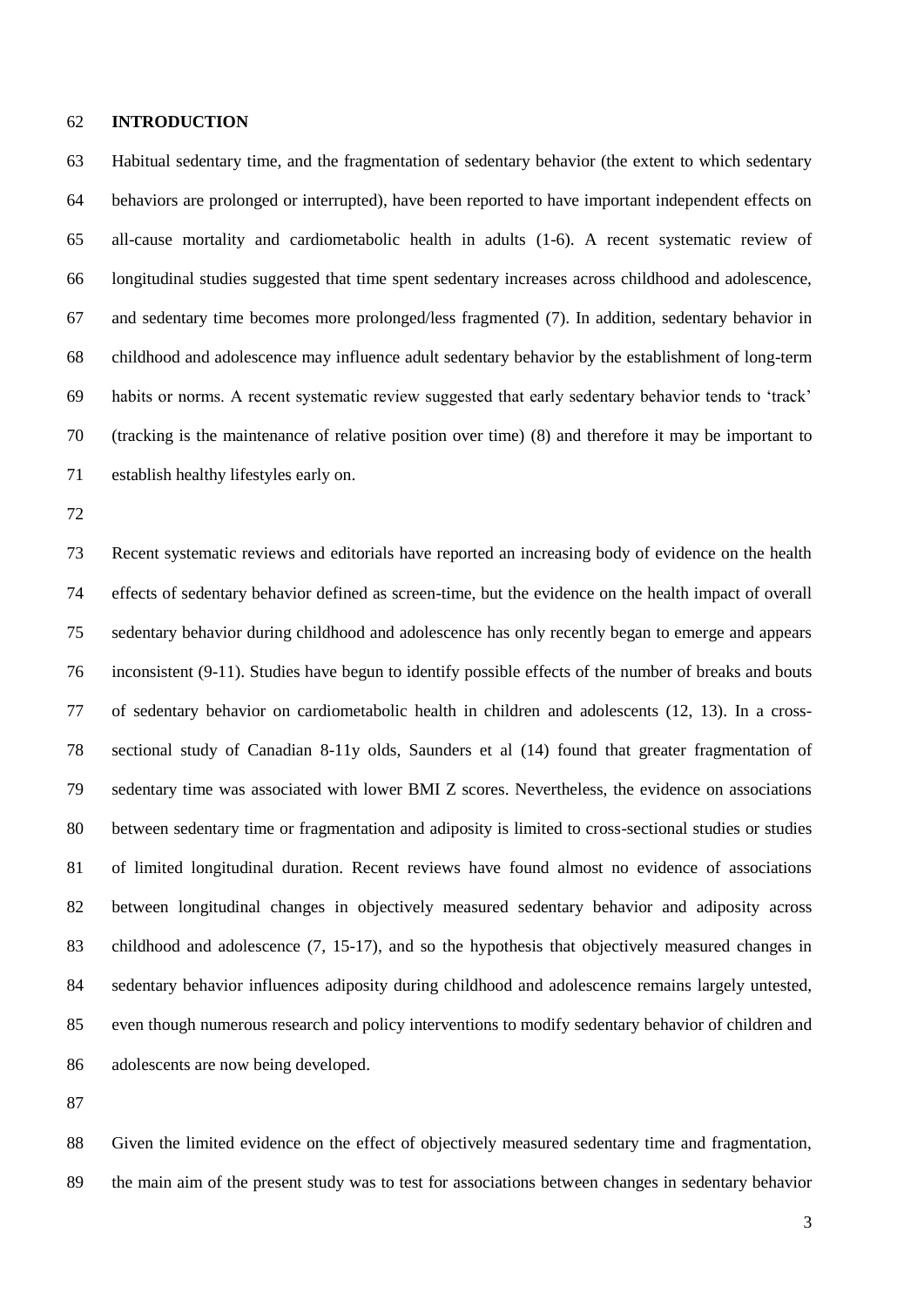#### **INTRODUCTION**

 Habitual sedentary time, and the fragmentation of sedentary behavior (the extent to which sedentary behaviors are prolonged or interrupted), have been reported to have important independent effects on all-cause mortality and cardiometabolic health in adults (1-6). A recent systematic review of longitudinal studies suggested that time spent sedentary increases across childhood and adolescence, and sedentary time becomes more prolonged/less fragmented (7). In addition, sedentary behavior in childhood and adolescence may influence adult sedentary behavior by the establishment of long-term habits or norms. A recent systematic review suggested that early sedentary behavior tends to 'track' (tracking is the maintenance of relative position over time) (8) and therefore it may be important to establish healthy lifestyles early on.

 Recent systematic reviews and editorials have reported an increasing body of evidence on the health effects of sedentary behavior defined as screen-time, but the evidence on the health impact of overall sedentary behavior during childhood and adolescence has only recently began to emerge and appears inconsistent (9-11). Studies have begun to identify possible effects of the number of breaks and bouts of sedentary behavior on cardiometabolic health in children and adolescents (12, 13). In a cross- sectional study of Canadian 8-11y olds, Saunders et al (14) found that greater fragmentation of sedentary time was associated with lower BMI Z scores. Nevertheless, the evidence on associations between sedentary time or fragmentation and adiposity is limited to cross-sectional studies or studies of limited longitudinal duration. Recent reviews have found almost no evidence of associations between longitudinal changes in objectively measured sedentary behavior and adiposity across childhood and adolescence (7, 15-17), and so the hypothesis that objectively measured changes in sedentary behavior influences adiposity during childhood and adolescence remains largely untested, even though numerous research and policy interventions to modify sedentary behavior of children and adolescents are now being developed.

 Given the limited evidence on the effect of objectively measured sedentary time and fragmentation, the main aim of the present study was to test for associations between changes in sedentary behavior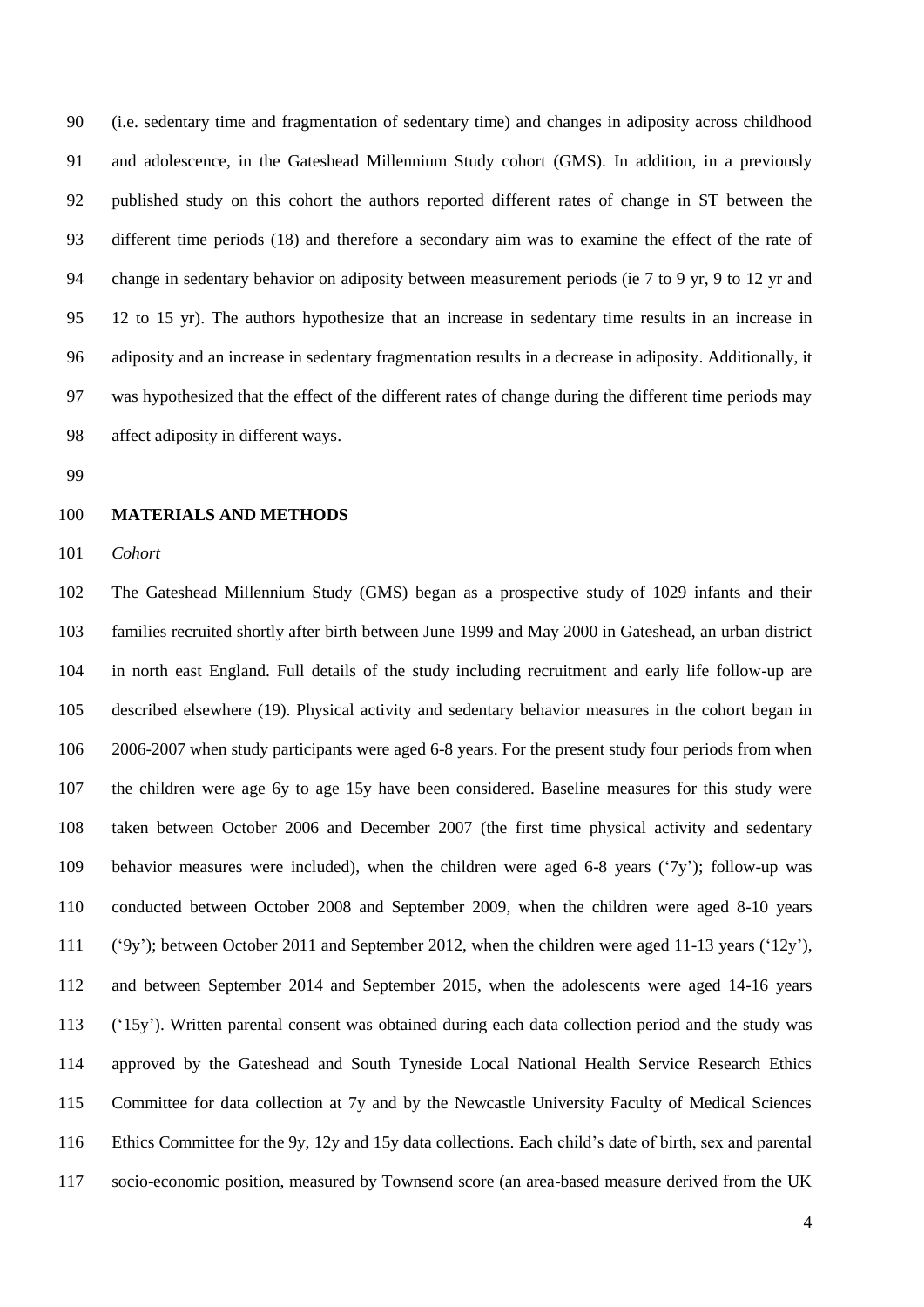(i.e. sedentary time and fragmentation of sedentary time) and changes in adiposity across childhood and adolescence, in the Gateshead Millennium Study cohort (GMS). In addition, in a previously published study on this cohort the authors reported different rates of change in ST between the different time periods (18) and therefore a secondary aim was to examine the effect of the rate of change in sedentary behavior on adiposity between measurement periods (ie 7 to 9 yr, 9 to 12 yr and 12 to 15 yr). The authors hypothesize that an increase in sedentary time results in an increase in adiposity and an increase in sedentary fragmentation results in a decrease in adiposity. Additionally, it was hypothesized that the effect of the different rates of change during the different time periods may affect adiposity in different ways.

### **MATERIALS AND METHODS**

*Cohort*

 The Gateshead Millennium Study (GMS) began as a prospective study of 1029 infants and their families recruited shortly after birth between June 1999 and May 2000 in Gateshead, an urban district in north east England. Full details of the study including recruitment and early life follow-up are described elsewhere (19). Physical activity and sedentary behavior measures in the cohort began in 2006-2007 when study participants were aged 6-8 years. For the present study four periods from when the children were age 6y to age 15y have been considered. Baseline measures for this study were taken between October 2006 and December 2007 (the first time physical activity and sedentary behavior measures were included), when the children were aged 6-8 years ('7y'); follow-up was conducted between October 2008 and September 2009, when the children were aged 8-10 years ('9y'); between October 2011 and September 2012, when the children were aged 11-13 years ('12y'), and between September 2014 and September 2015, when the adolescents were aged 14-16 years ('15y'). Written parental consent was obtained during each data collection period and the study was approved by the Gateshead and South Tyneside Local National Health Service Research Ethics Committee for data collection at 7y and by the Newcastle University Faculty of Medical Sciences Ethics Committee for the 9y, 12y and 15y data collections. Each child's date of birth, sex and parental socio-economic position, measured by Townsend score (an area-based measure derived from the UK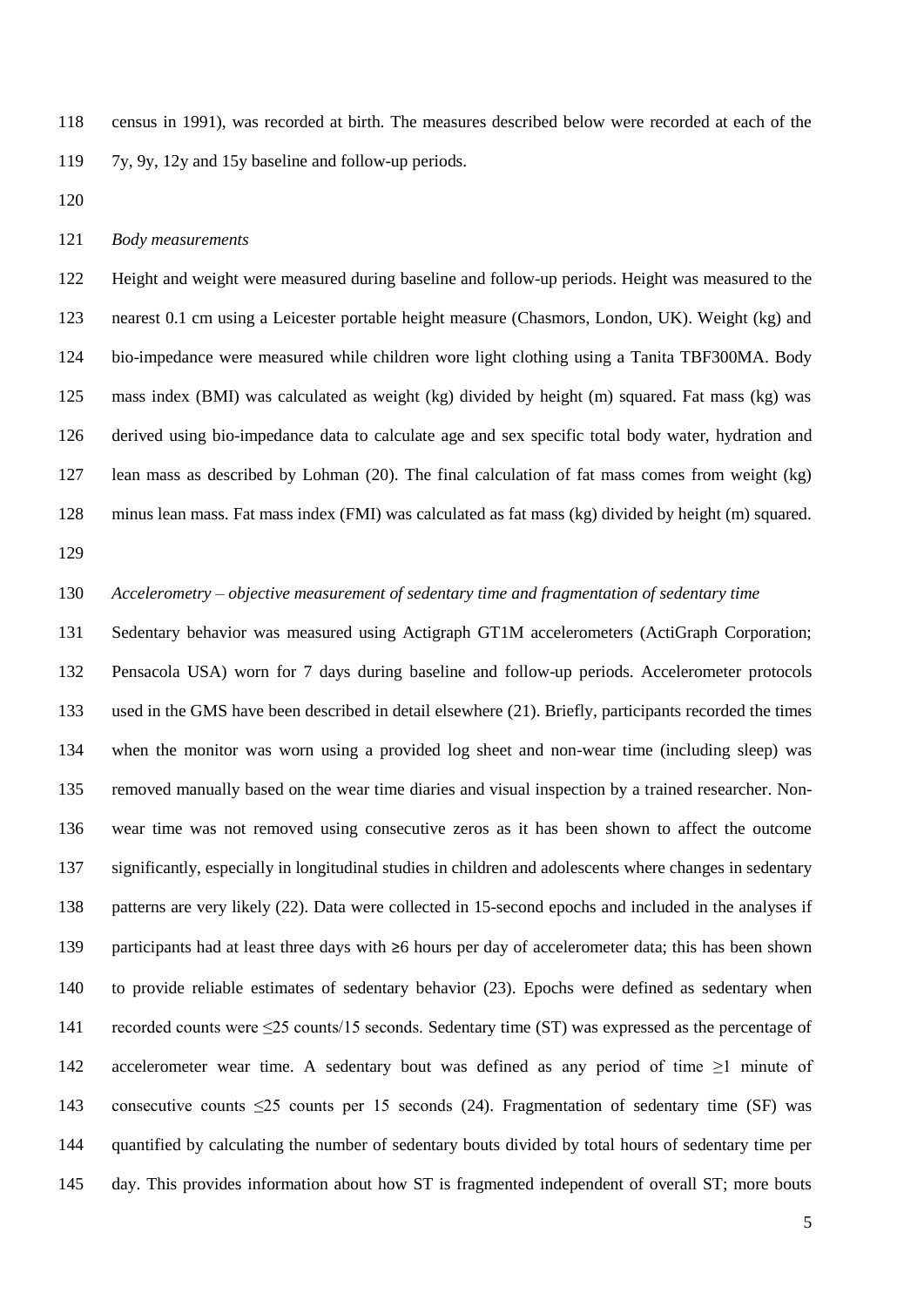census in 1991), was recorded at birth. The measures described below were recorded at each of the 7y, 9y, 12y and 15y baseline and follow-up periods.

### *Body measurements*

 Height and weight were measured during baseline and follow-up periods. Height was measured to the nearest 0.1 cm using a Leicester portable height measure (Chasmors, London, UK). Weight (kg) and bio-impedance were measured while children wore light clothing using a Tanita TBF300MA. Body mass index (BMI) was calculated as weight (kg) divided by height (m) squared. Fat mass (kg) was derived using bio-impedance data to calculate age and sex specific total body water, hydration and lean mass as described by Lohman (20). The final calculation of fat mass comes from weight (kg) minus lean mass. Fat mass index (FMI) was calculated as fat mass (kg) divided by height (m) squared. 

*Accelerometry – objective measurement of sedentary time and fragmentation of sedentary time*

 Sedentary behavior was measured using Actigraph GT1M accelerometers (ActiGraph Corporation; Pensacola USA) worn for 7 days during baseline and follow-up periods. Accelerometer protocols used in the GMS have been described in detail elsewhere (21). Briefly, participants recorded the times when the monitor was worn using a provided log sheet and non-wear time (including sleep) was removed manually based on the wear time diaries and visual inspection by a trained researcher. Non- wear time was not removed using consecutive zeros as it has been shown to affect the outcome significantly, especially in longitudinal studies in children and adolescents where changes in sedentary patterns are very likely (22). Data were collected in 15-second epochs and included in the analyses if participants had at least three days with ≥6 hours per day of accelerometer data; this has been shown to provide reliable estimates of sedentary behavior (23). Epochs were defined as sedentary when recorded counts were ≤25 counts/15 seconds. Sedentary time (ST) was expressed as the percentage of accelerometer wear time. A sedentary bout was defined as any period of time ≥1 minute of consecutive counts ≤25 counts per 15 seconds (24). Fragmentation of sedentary time (SF) was quantified by calculating the number of sedentary bouts divided by total hours of sedentary time per day. This provides information about how ST is fragmented independent of overall ST; more bouts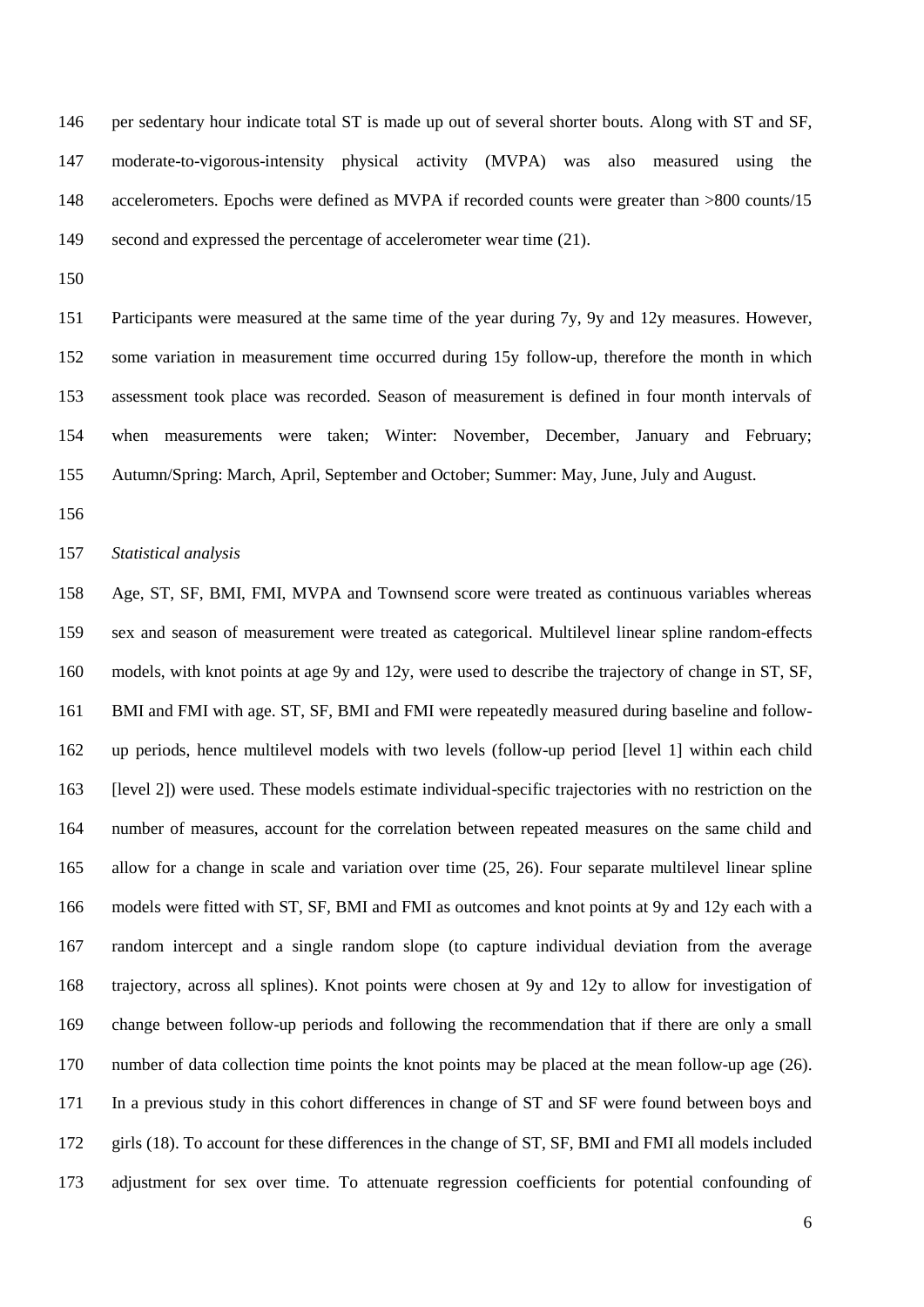per sedentary hour indicate total ST is made up out of several shorter bouts. Along with ST and SF, moderate-to-vigorous-intensity physical activity (MVPA) was also measured using the accelerometers. Epochs were defined as MVPA if recorded counts were greater than >800 counts/15 second and expressed the percentage of accelerometer wear time (21).

 Participants were measured at the same time of the year during 7y, 9y and 12y measures. However, some variation in measurement time occurred during 15y follow-up, therefore the month in which assessment took place was recorded. Season of measurement is defined in four month intervals of when measurements were taken; Winter: November, December, January and February; Autumn/Spring: March, April, September and October; Summer: May, June, July and August.

*Statistical analysis*

 Age, ST, SF, BMI, FMI, MVPA and Townsend score were treated as continuous variables whereas sex and season of measurement were treated as categorical. Multilevel linear spline random-effects models, with knot points at age 9y and 12y, were used to describe the trajectory of change in ST, SF, BMI and FMI with age. ST, SF, BMI and FMI were repeatedly measured during baseline and follow- up periods, hence multilevel models with two levels (follow-up period [level 1] within each child [level 2]) were used. These models estimate individual-specific trajectories with no restriction on the number of measures, account for the correlation between repeated measures on the same child and allow for a change in scale and variation over time (25, 26). Four separate multilevel linear spline models were fitted with ST, SF, BMI and FMI as outcomes and knot points at 9y and 12y each with a random intercept and a single random slope (to capture individual deviation from the average trajectory, across all splines). Knot points were chosen at 9y and 12y to allow for investigation of change between follow-up periods and following the recommendation that if there are only a small number of data collection time points the knot points may be placed at the mean follow-up age (26). In a previous study in this cohort differences in change of ST and SF were found between boys and girls (18). To account for these differences in the change of ST, SF, BMI and FMI all models included adjustment for sex over time. To attenuate regression coefficients for potential confounding of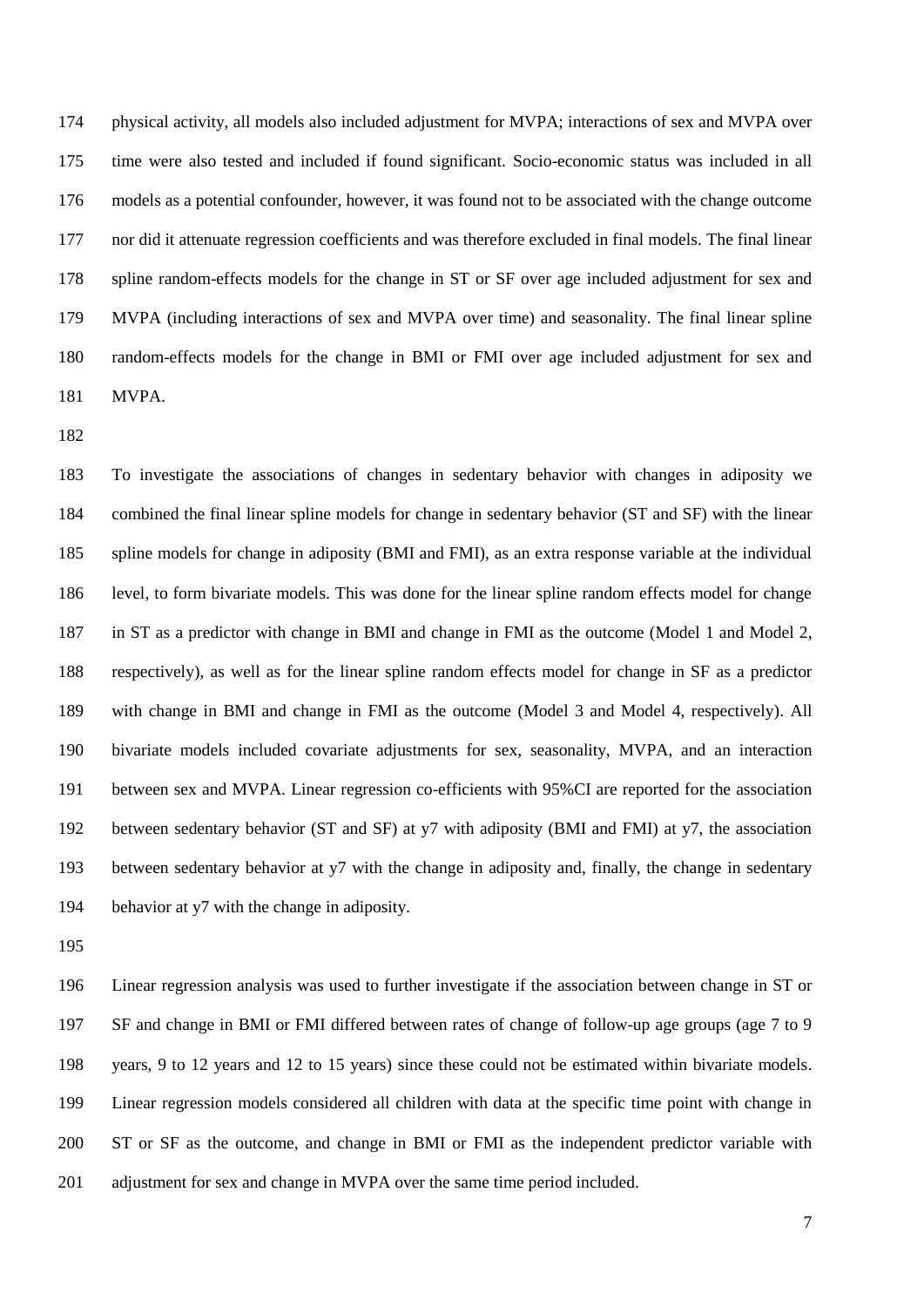physical activity, all models also included adjustment for MVPA; interactions of sex and MVPA over time were also tested and included if found significant. Socio-economic status was included in all models as a potential confounder, however, it was found not to be associated with the change outcome nor did it attenuate regression coefficients and was therefore excluded in final models. The final linear spline random-effects models for the change in ST or SF over age included adjustment for sex and MVPA (including interactions of sex and MVPA over time) and seasonality. The final linear spline random-effects models for the change in BMI or FMI over age included adjustment for sex and MVPA.

 To investigate the associations of changes in sedentary behavior with changes in adiposity we combined the final linear spline models for change in sedentary behavior (ST and SF) with the linear spline models for change in adiposity (BMI and FMI), as an extra response variable at the individual level, to form bivariate models. This was done for the linear spline random effects model for change in ST as a predictor with change in BMI and change in FMI as the outcome (Model 1 and Model 2, respectively), as well as for the linear spline random effects model for change in SF as a predictor with change in BMI and change in FMI as the outcome (Model 3 and Model 4, respectively). All bivariate models included covariate adjustments for sex, seasonality, MVPA, and an interaction between sex and MVPA. Linear regression co-efficients with 95%CI are reported for the association between sedentary behavior (ST and SF) at y7 with adiposity (BMI and FMI) at y7, the association between sedentary behavior at y7 with the change in adiposity and, finally, the change in sedentary behavior at y7 with the change in adiposity.

 Linear regression analysis was used to further investigate if the association between change in ST or SF and change in BMI or FMI differed between rates of change of follow-up age groups (age 7 to 9 years, 9 to 12 years and 12 to 15 years) since these could not be estimated within bivariate models. Linear regression models considered all children with data at the specific time point with change in ST or SF as the outcome, and change in BMI or FMI as the independent predictor variable with adjustment for sex and change in MVPA over the same time period included.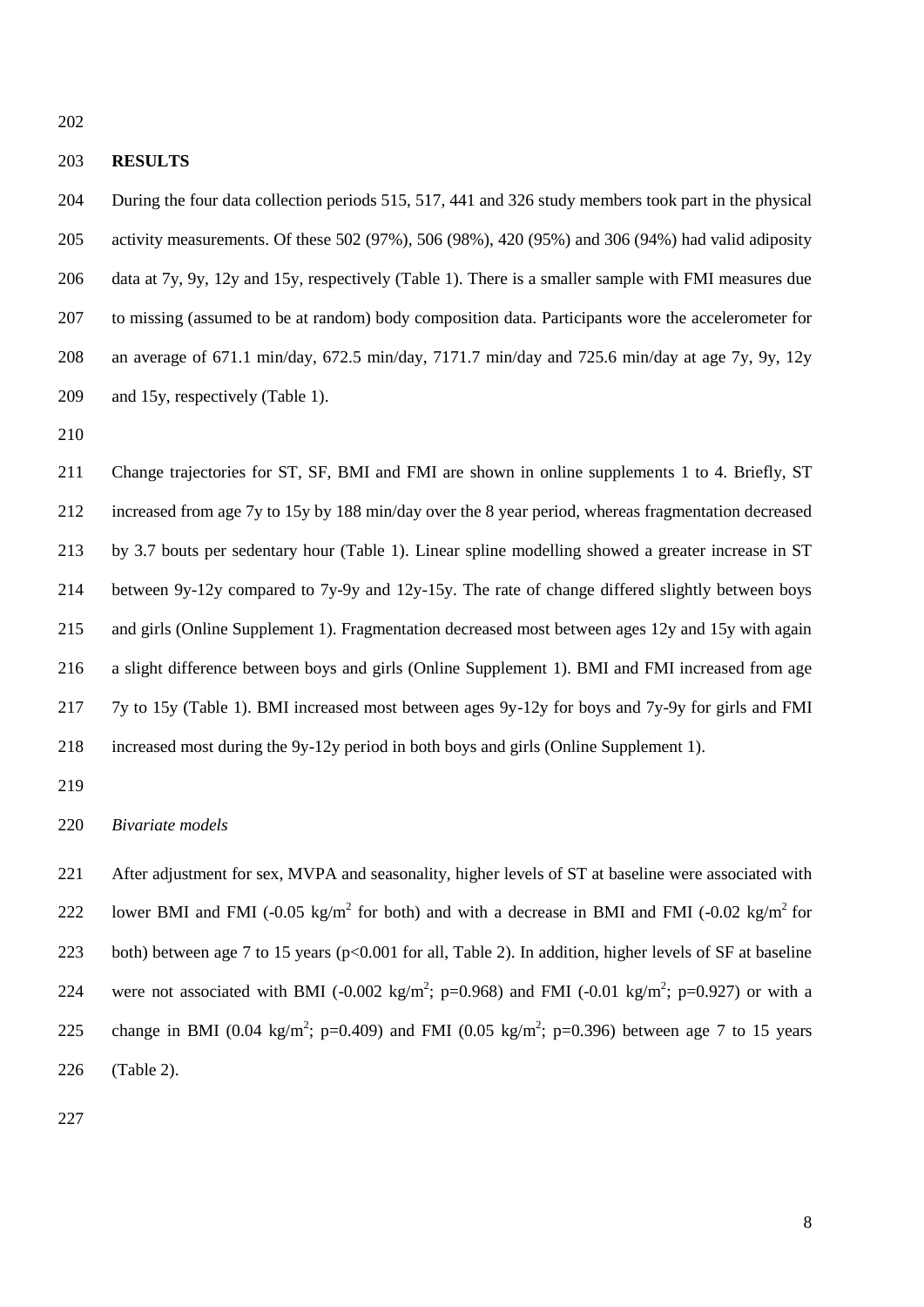### **RESULTS**

 During the four data collection periods 515, 517, 441 and 326 study members took part in the physical activity measurements. Of these 502 (97%), 506 (98%), 420 (95%) and 306 (94%) had valid adiposity data at 7y, 9y, 12y and 15y, respectively (Table 1). There is a smaller sample with FMI measures due to missing (assumed to be at random) body composition data. Participants wore the accelerometer for an average of 671.1 min/day, 672.5 min/day, 7171.7 min/day and 725.6 min/day at age 7y, 9y, 12y and 15y, respectively (Table 1).

 Change trajectories for ST, SF, BMI and FMI are shown in online supplements 1 to 4. Briefly, ST increased from age 7y to 15y by 188 min/day over the 8 year period, whereas fragmentation decreased by 3.7 bouts per sedentary hour (Table 1). Linear spline modelling showed a greater increase in ST between 9y-12y compared to 7y-9y and 12y-15y. The rate of change differed slightly between boys and girls (Online Supplement 1). Fragmentation decreased most between ages 12y and 15y with again a slight difference between boys and girls (Online Supplement 1). BMI and FMI increased from age 7y to 15y (Table 1). BMI increased most between ages 9y-12y for boys and 7y-9y for girls and FMI increased most during the 9y-12y period in both boys and girls (Online Supplement 1).

# *Bivariate models*

 After adjustment for sex, MVPA and seasonality, higher levels of ST at baseline were associated with 222 lower BMI and FMI (-0.05 kg/m<sup>2</sup> for both) and with a decrease in BMI and FMI (-0.02 kg/m<sup>2</sup> for 223 both) between age 7 to 15 years (p<0.001 for all, Table 2). In addition, higher levels of SF at baseline 224 were not associated with BMI (-0.002 kg/m<sup>2</sup>; p=0.968) and FMI (-0.01 kg/m<sup>2</sup>; p=0.927) or with a 225 change in BMI (0.04 kg/m<sup>2</sup>; p=0.409) and FMI (0.05 kg/m<sup>2</sup>; p=0.396) between age 7 to 15 years (Table 2).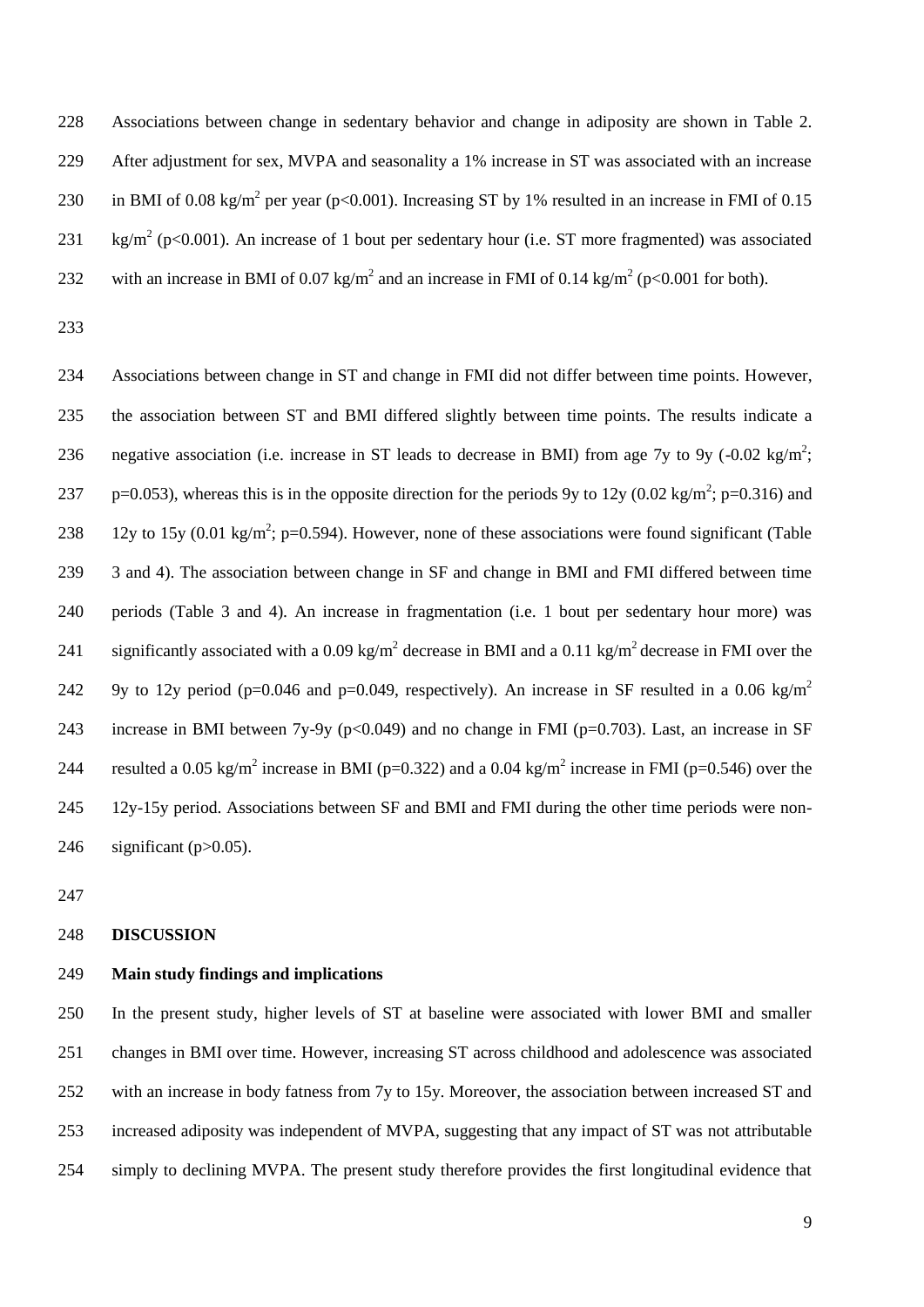Associations between change in sedentary behavior and change in adiposity are shown in Table 2. After adjustment for sex, MVPA and seasonality a 1% increase in ST was associated with an increase 230 in BMI of 0.08 kg/m<sup>2</sup> per year (p<0.001). Increasing ST by 1% resulted in an increase in FMI of 0.15 231 kg/m<sup>2</sup> (p<0.001). An increase of 1 bout per sedentary hour (i.e. ST more fragmented) was associated 232 with an increase in BMI of 0.07 kg/m<sup>2</sup> and an increase in FMI of 0.14 kg/m<sup>2</sup> (p<0.001 for both).

 Associations between change in ST and change in FMI did not differ between time points. However, the association between ST and BMI differed slightly between time points. The results indicate a 236 negative association (i.e. increase in ST leads to decrease in BMI) from age 7y to 9y (-0.02 kg/m<sup>2</sup>; 237 p=0.053), whereas this is in the opposite direction for the periods 9y to 12y (0.02 kg/m<sup>2</sup>; p=0.316) and 238 12y to 15y (0.01 kg/m<sup>2</sup>; p=0.594). However, none of these associations were found significant (Table 3 and 4). The association between change in SF and change in BMI and FMI differed between time periods (Table 3 and 4). An increase in fragmentation (i.e. 1 bout per sedentary hour more) was 241 significantly associated with a 0.09 kg/m<sup>2</sup> decrease in BMI and a 0.11 kg/m<sup>2</sup> decrease in FMI over the 9y to 12y period (p=0.046 and p=0.049, respectively). An increase in SF resulted in a 0.06 kg/m<sup>2</sup> 243 increase in BMI between 7y-9y (p<0.049) and no change in FMI (p=0.703). Last, an increase in SF 244 resulted a 0.05 kg/m<sup>2</sup> increase in BMI (p=0.322) and a 0.04 kg/m<sup>2</sup> increase in FMI (p=0.546) over the 12y-15y period. Associations between SF and BMI and FMI during the other time periods were non-246 significant ( $p > 0.05$ ).

# **DISCUSSION**

# **Main study findings and implications**

 In the present study, higher levels of ST at baseline were associated with lower BMI and smaller changes in BMI over time. However, increasing ST across childhood and adolescence was associated with an increase in body fatness from 7y to 15y. Moreover, the association between increased ST and increased adiposity was independent of MVPA, suggesting that any impact of ST was not attributable simply to declining MVPA. The present study therefore provides the first longitudinal evidence that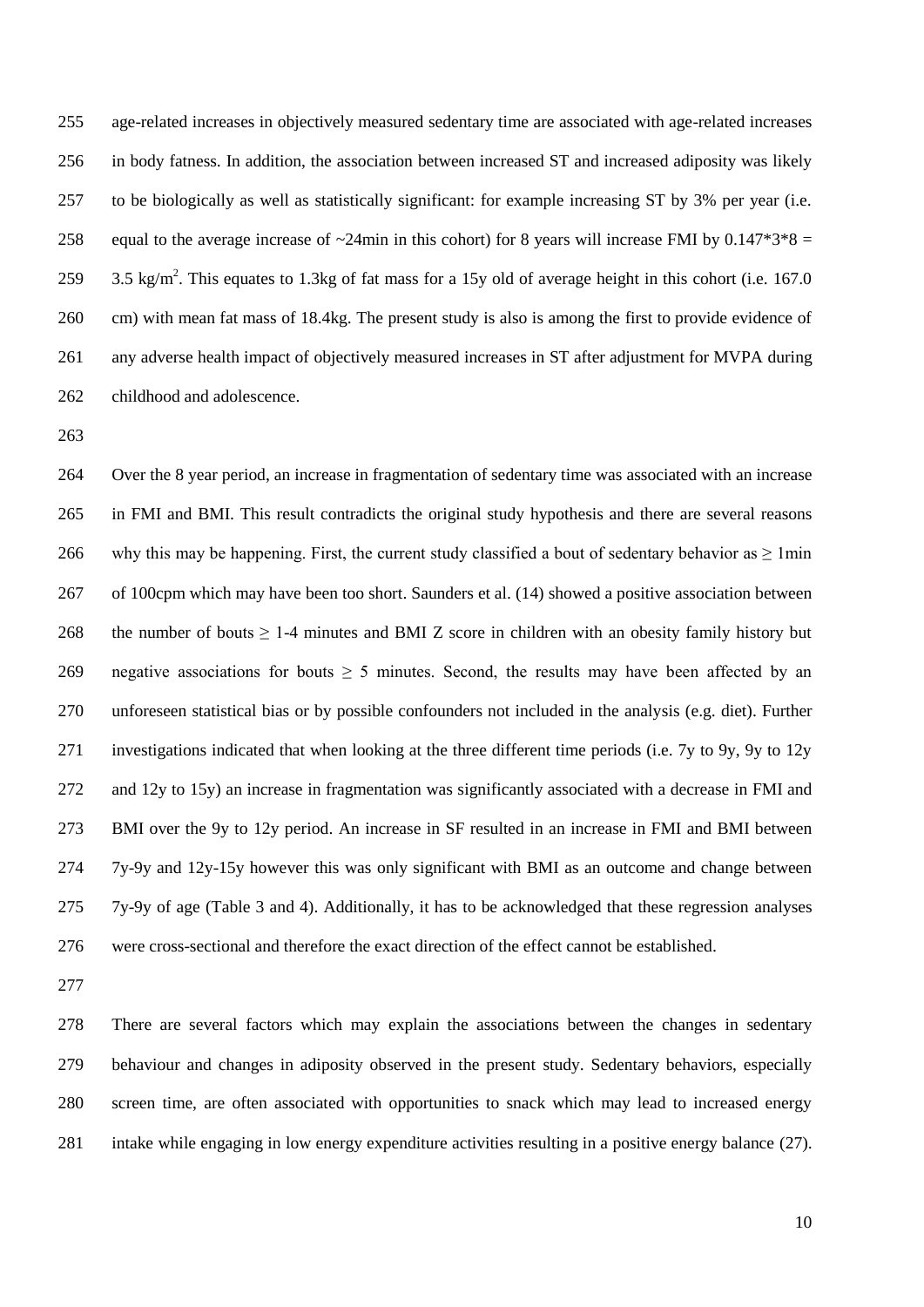age-related increases in objectively measured sedentary time are associated with age-related increases in body fatness. In addition, the association between increased ST and increased adiposity was likely to be biologically as well as statistically significant: for example increasing ST by 3% per year (i.e. 258 equal to the average increase of  $\sim$ 24min in this cohort) for 8 years will increase FMI by 0.147\*3\*8 = 259 3.5 kg/m<sup>2</sup>. This equates to 1.3kg of fat mass for a 15y old of average height in this cohort (i.e. 167.0) cm) with mean fat mass of 18.4kg. The present study is also is among the first to provide evidence of any adverse health impact of objectively measured increases in ST after adjustment for MVPA during childhood and adolescence.

 Over the 8 year period, an increase in fragmentation of sedentary time was associated with an increase in FMI and BMI. This result contradicts the original study hypothesis and there are several reasons 266 why this may be happening. First, the current study classified a bout of sedentary behavior as  $\geq 1$  min of 100cpm which may have been too short. Saunders et al. (14) showed a positive association between 268 the number of bouts  $\geq 1$ -4 minutes and BMI Z score in children with an obesity family history but 269 negative associations for bouts  $\geq$  5 minutes. Second, the results may have been affected by an unforeseen statistical bias or by possible confounders not included in the analysis (e.g. diet). Further investigations indicated that when looking at the three different time periods (i.e. 7y to 9y, 9y to 12y and 12y to 15y) an increase in fragmentation was significantly associated with a decrease in FMI and BMI over the 9y to 12y period. An increase in SF resulted in an increase in FMI and BMI between 7y-9y and 12y-15y however this was only significant with BMI as an outcome and change between 7y-9y of age (Table 3 and 4). Additionally, it has to be acknowledged that these regression analyses were cross-sectional and therefore the exact direction of the effect cannot be established.

 There are several factors which may explain the associations between the changes in sedentary behaviour and changes in adiposity observed in the present study. Sedentary behaviors, especially screen time, are often associated with opportunities to snack which may lead to increased energy intake while engaging in low energy expenditure activities resulting in a positive energy balance (27).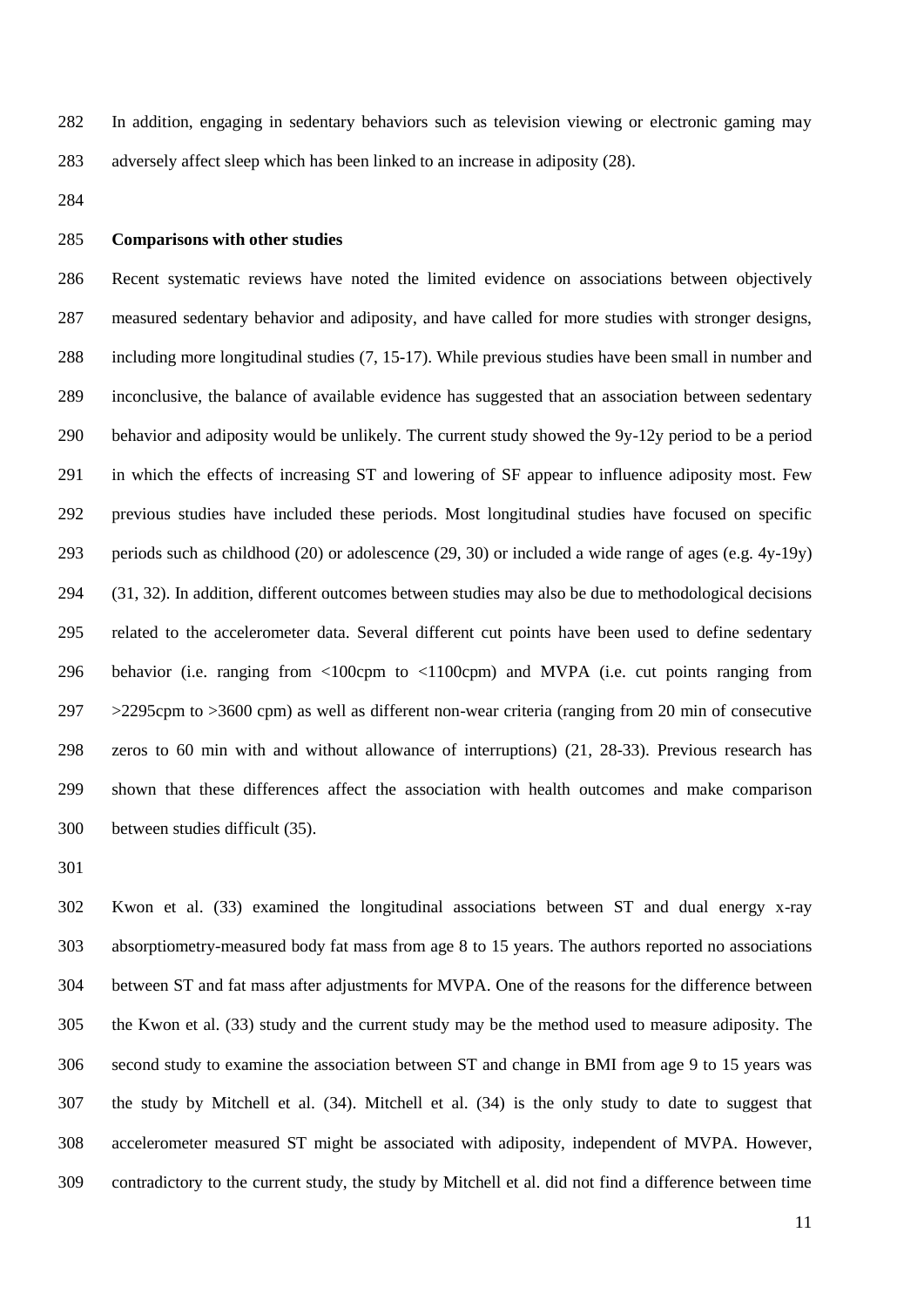In addition, engaging in sedentary behaviors such as television viewing or electronic gaming may adversely affect sleep which has been linked to an increase in adiposity (28).

### **Comparisons with other studies**

 Recent systematic reviews have noted the limited evidence on associations between objectively measured sedentary behavior and adiposity, and have called for more studies with stronger designs, including more longitudinal studies (7, 15-17). While previous studies have been small in number and inconclusive, the balance of available evidence has suggested that an association between sedentary behavior and adiposity would be unlikely. The current study showed the 9y-12y period to be a period in which the effects of increasing ST and lowering of SF appear to influence adiposity most. Few previous studies have included these periods. Most longitudinal studies have focused on specific 293 periods such as childhood (20) or adolescence (29, 30) or included a wide range of ages (e.g.  $4y-19y$ ) (31, 32). In addition, different outcomes between studies may also be due to methodological decisions related to the accelerometer data. Several different cut points have been used to define sedentary behavior (i.e. ranging from <100cpm to <1100cpm) and MVPA (i.e. cut points ranging from >2295cpm to >3600 cpm) as well as different non-wear criteria (ranging from 20 min of consecutive zeros to 60 min with and without allowance of interruptions) (21, 28-33). Previous research has shown that these differences affect the association with health outcomes and make comparison between studies difficult (35).

 Kwon et al. (33) examined the longitudinal associations between ST and dual energy x-ray absorptiometry-measured body fat mass from age 8 to 15 years. The authors reported no associations between ST and fat mass after adjustments for MVPA. One of the reasons for the difference between the Kwon et al. (33) study and the current study may be the method used to measure adiposity. The second study to examine the association between ST and change in BMI from age 9 to 15 years was the study by Mitchell et al. (34). Mitchell et al. (34) is the only study to date to suggest that accelerometer measured ST might be associated with adiposity, independent of MVPA. However, contradictory to the current study, the study by Mitchell et al. did not find a difference between time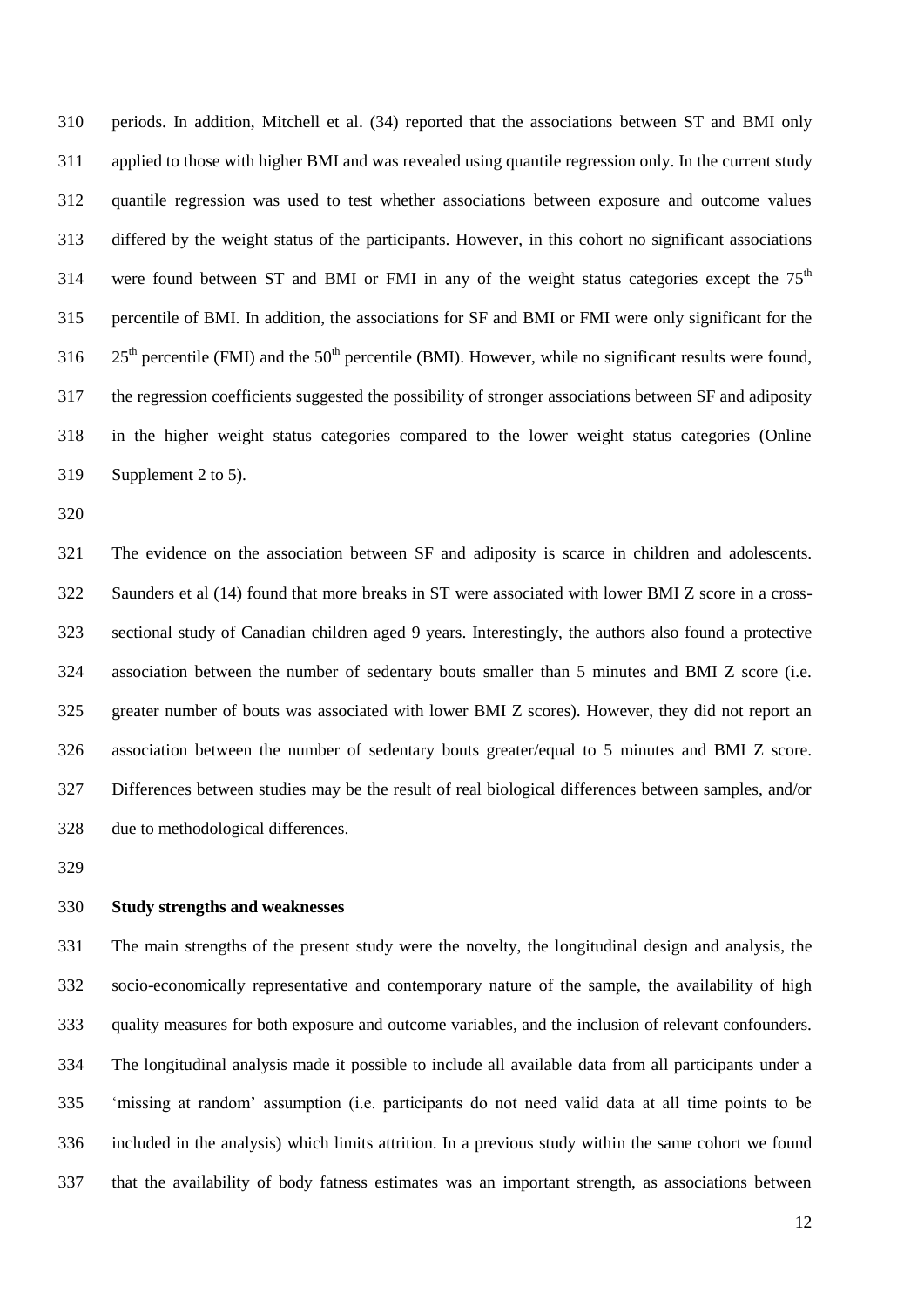periods. In addition, Mitchell et al. (34) reported that the associations between ST and BMI only applied to those with higher BMI and was revealed using quantile regression only. In the current study quantile regression was used to test whether associations between exposure and outcome values differed by the weight status of the participants. However, in this cohort no significant associations 314 were found between ST and BMI or FMI in any of the weight status categories except the  $75<sup>th</sup>$  percentile of BMI. In addition, the associations for SF and BMI or FMI were only significant for the  $25<sup>th</sup>$  percentile (FMI) and the  $50<sup>th</sup>$  percentile (BMI). However, while no significant results were found, the regression coefficients suggested the possibility of stronger associations between SF and adiposity in the higher weight status categories compared to the lower weight status categories (Online Supplement 2 to 5).

 The evidence on the association between SF and adiposity is scarce in children and adolescents. Saunders et al (14) found that more breaks in ST were associated with lower BMI Z score in a cross- sectional study of Canadian children aged 9 years. Interestingly, the authors also found a protective association between the number of sedentary bouts smaller than 5 minutes and BMI Z score (i.e. greater number of bouts was associated with lower BMI Z scores). However, they did not report an association between the number of sedentary bouts greater/equal to 5 minutes and BMI Z score. Differences between studies may be the result of real biological differences between samples, and/or due to methodological differences.

# **Study strengths and weaknesses**

 The main strengths of the present study were the novelty, the longitudinal design and analysis, the socio-economically representative and contemporary nature of the sample, the availability of high quality measures for both exposure and outcome variables, and the inclusion of relevant confounders. The longitudinal analysis made it possible to include all available data from all participants under a 'missing at random' assumption (i.e. participants do not need valid data at all time points to be included in the analysis) which limits attrition. In a previous study within the same cohort we found that the availability of body fatness estimates was an important strength, as associations between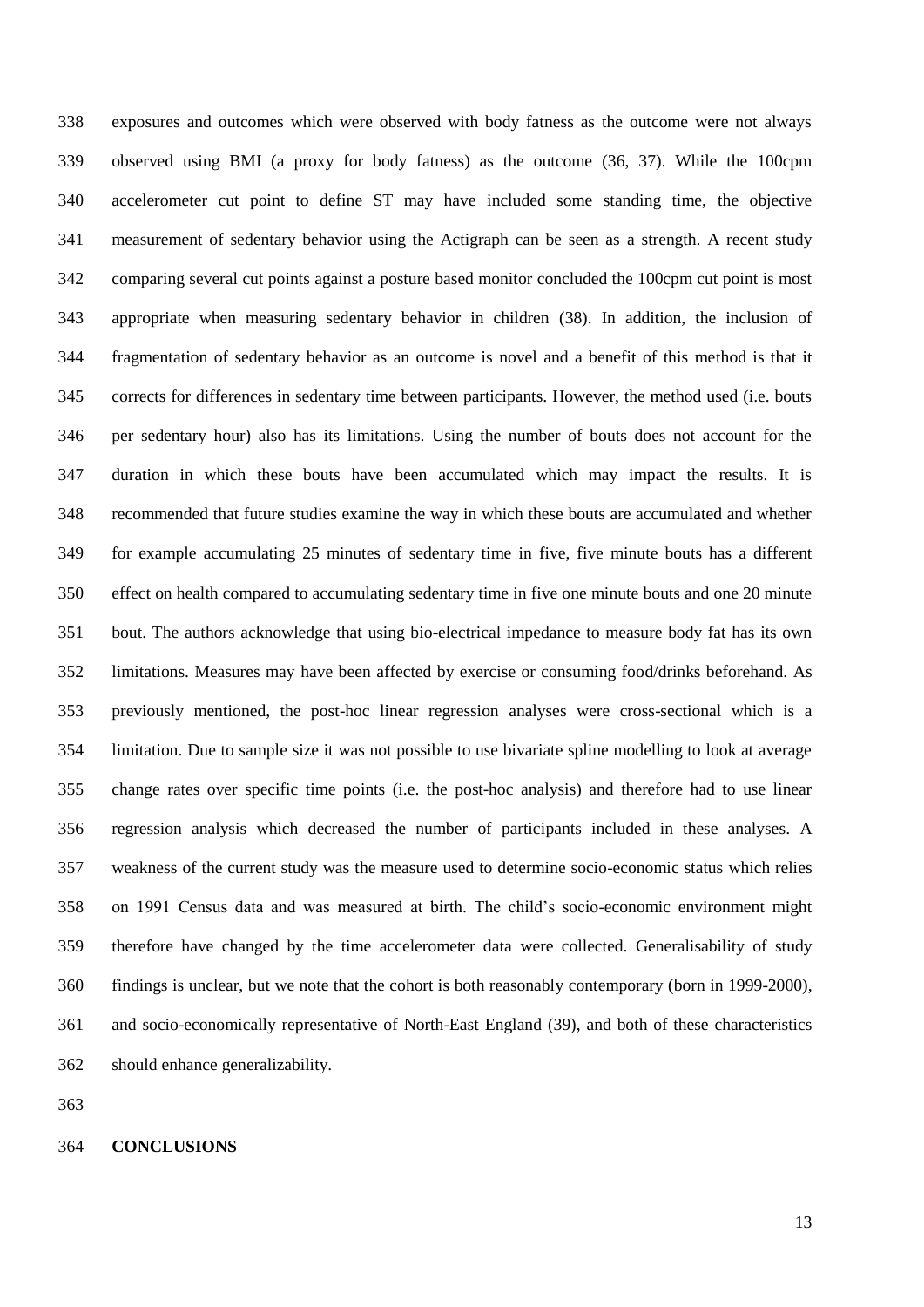exposures and outcomes which were observed with body fatness as the outcome were not always observed using BMI (a proxy for body fatness) as the outcome (36, 37). While the 100cpm accelerometer cut point to define ST may have included some standing time, the objective measurement of sedentary behavior using the Actigraph can be seen as a strength. A recent study comparing several cut points against a posture based monitor concluded the 100cpm cut point is most appropriate when measuring sedentary behavior in children (38). In addition, the inclusion of fragmentation of sedentary behavior as an outcome is novel and a benefit of this method is that it corrects for differences in sedentary time between participants. However, the method used (i.e. bouts per sedentary hour) also has its limitations. Using the number of bouts does not account for the duration in which these bouts have been accumulated which may impact the results. It is recommended that future studies examine the way in which these bouts are accumulated and whether for example accumulating 25 minutes of sedentary time in five, five minute bouts has a different effect on health compared to accumulating sedentary time in five one minute bouts and one 20 minute bout. The authors acknowledge that using bio-electrical impedance to measure body fat has its own limitations. Measures may have been affected by exercise or consuming food/drinks beforehand. As previously mentioned, the post-hoc linear regression analyses were cross-sectional which is a limitation. Due to sample size it was not possible to use bivariate spline modelling to look at average change rates over specific time points (i.e. the post-hoc analysis) and therefore had to use linear regression analysis which decreased the number of participants included in these analyses. A weakness of the current study was the measure used to determine socio-economic status which relies on 1991 Census data and was measured at birth. The child's socio-economic environment might therefore have changed by the time accelerometer data were collected. Generalisability of study findings is unclear, but we note that the cohort is both reasonably contemporary (born in 1999-2000), and socio-economically representative of North-East England (39), and both of these characteristics should enhance generalizability.

### **CONCLUSIONS**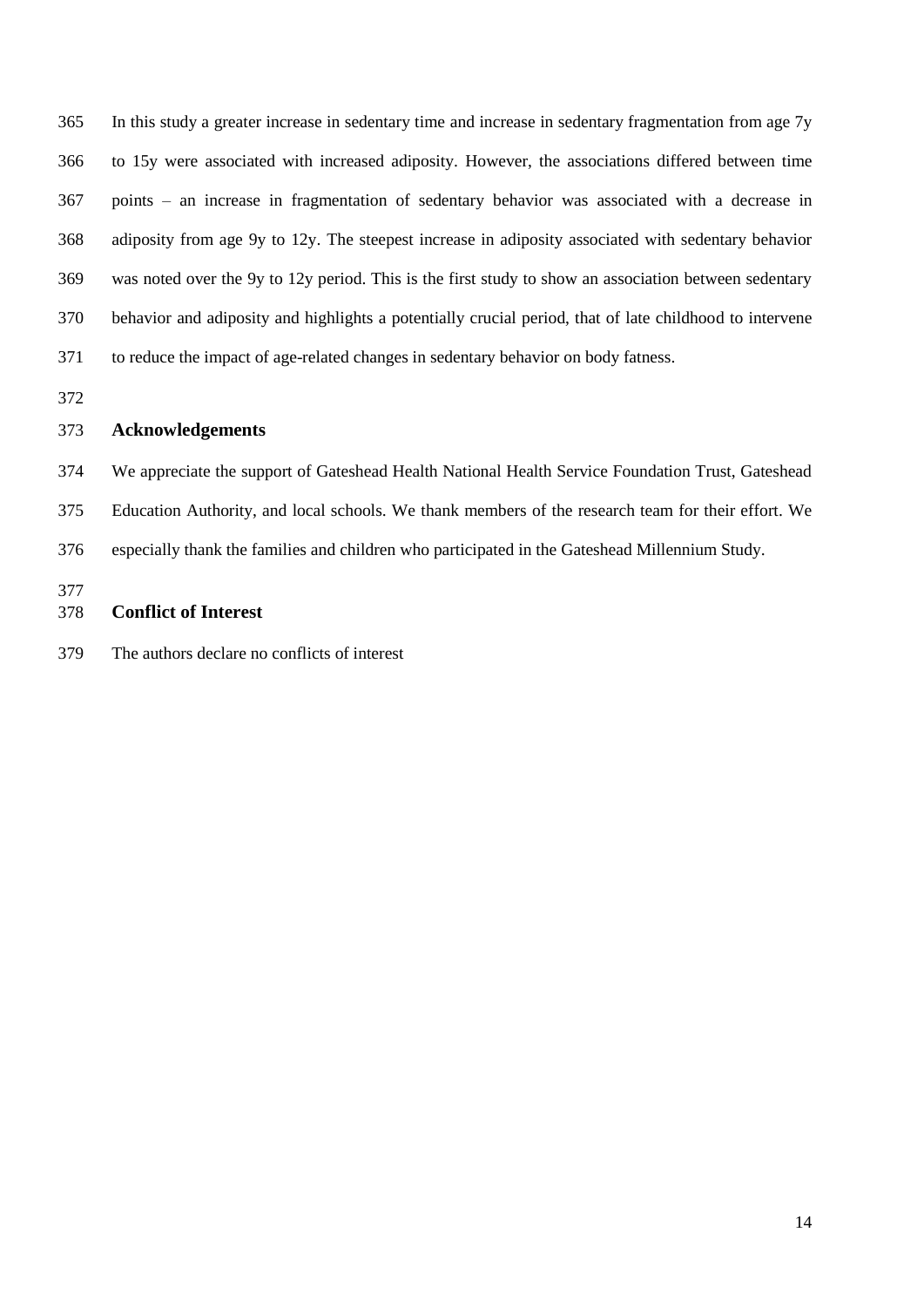In this study a greater increase in sedentary time and increase in sedentary fragmentation from age 7y to 15y were associated with increased adiposity. However, the associations differed between time points – an increase in fragmentation of sedentary behavior was associated with a decrease in adiposity from age 9y to 12y. The steepest increase in adiposity associated with sedentary behavior was noted over the 9y to 12y period. This is the first study to show an association between sedentary behavior and adiposity and highlights a potentially crucial period, that of late childhood to intervene to reduce the impact of age-related changes in sedentary behavior on body fatness.

# **Acknowledgements**

 We appreciate the support of Gateshead Health National Health Service Foundation Trust, Gateshead Education Authority, and local schools. We thank members of the research team for their effort. We especially thank the families and children who participated in the Gateshead Millennium Study. 

# **Conflict of Interest**

The authors declare no conflicts of interest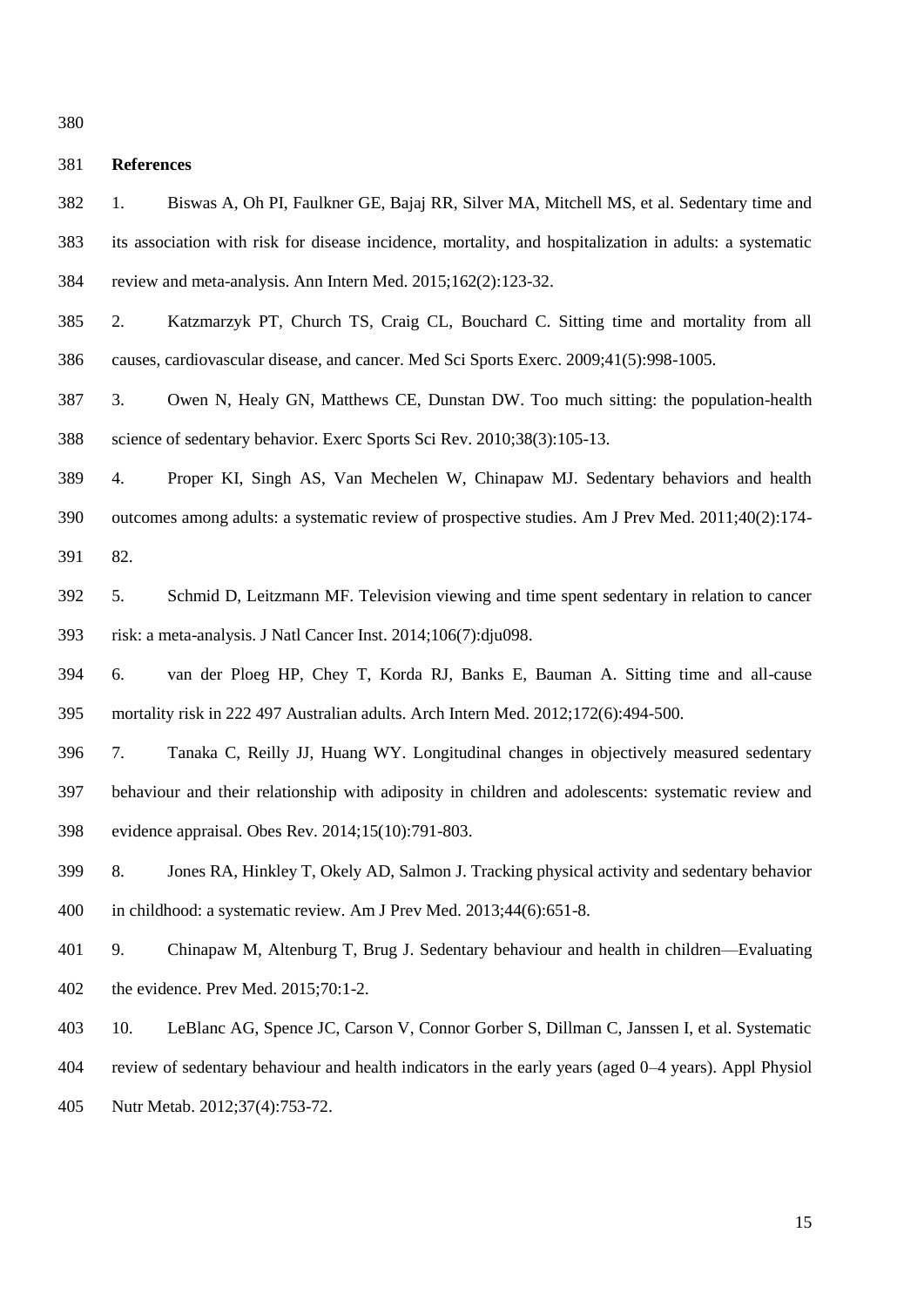### **References**

- 1. Biswas A, Oh PI, Faulkner GE, Bajaj RR, Silver MA, Mitchell MS, et al. Sedentary time and its association with risk for disease incidence, mortality, and hospitalization in adults: a systematic review and meta-analysis. Ann Intern Med. 2015;162(2):123-32.
- 2. Katzmarzyk PT, Church TS, Craig CL, Bouchard C. Sitting time and mortality from all causes, cardiovascular disease, and cancer. Med Sci Sports Exerc. 2009;41(5):998-1005.
- 3. Owen N, Healy GN, Matthews CE, Dunstan DW. Too much sitting: the population-health science of sedentary behavior. Exerc Sports Sci Rev. 2010;38(3):105-13.
- 4. Proper KI, Singh AS, Van Mechelen W, Chinapaw MJ. Sedentary behaviors and health outcomes among adults: a systematic review of prospective studies. Am J Prev Med. 2011;40(2):174- 82.
- 5. Schmid D, Leitzmann MF. Television viewing and time spent sedentary in relation to cancer risk: a meta-analysis. J Natl Cancer Inst. 2014;106(7):dju098.
- 6. van der Ploeg HP, Chey T, Korda RJ, Banks E, Bauman A. Sitting time and all-cause mortality risk in 222 497 Australian adults. Arch Intern Med. 2012;172(6):494-500.
- 7. Tanaka C, Reilly JJ, Huang WY. Longitudinal changes in objectively measured sedentary behaviour and their relationship with adiposity in children and adolescents: systematic review and evidence appraisal. Obes Rev. 2014;15(10):791-803.
- 8. Jones RA, Hinkley T, Okely AD, Salmon J. Tracking physical activity and sedentary behavior in childhood: a systematic review. Am J Prev Med. 2013;44(6):651-8.
- 9. Chinapaw M, Altenburg T, Brug J. Sedentary behaviour and health in children—Evaluating the evidence. Prev Med. 2015;70:1-2.
- 10. LeBlanc AG, Spence JC, Carson V, Connor Gorber S, Dillman C, Janssen I, et al. Systematic
- review of sedentary behaviour and health indicators in the early years (aged 0–4 years). Appl Physiol
- Nutr Metab. 2012;37(4):753-72.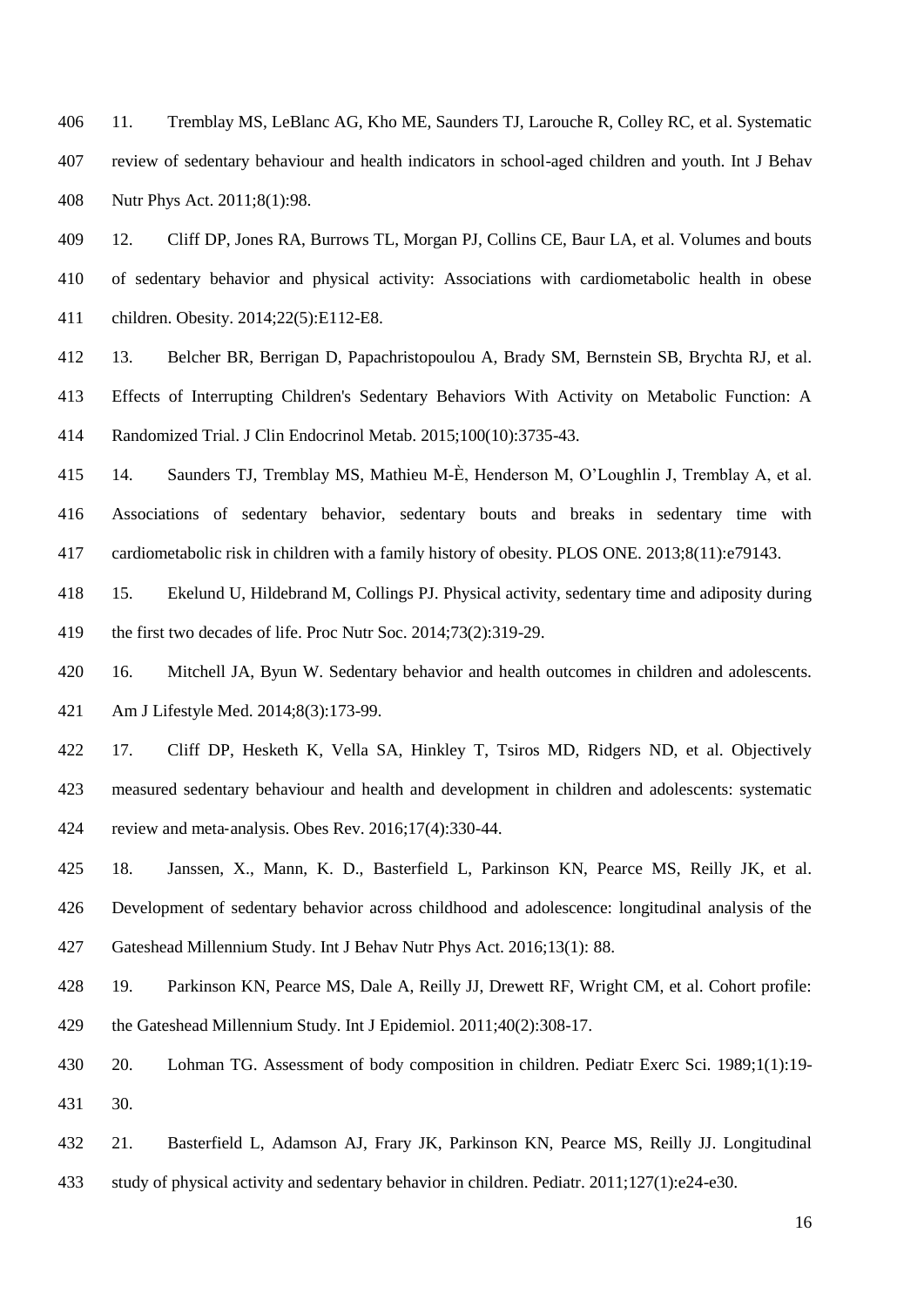11. Tremblay MS, LeBlanc AG, Kho ME, Saunders TJ, Larouche R, Colley RC, et al. Systematic review of sedentary behaviour and health indicators in school-aged children and youth. Int J Behav Nutr Phys Act. 2011;8(1):98.

 12. Cliff DP, Jones RA, Burrows TL, Morgan PJ, Collins CE, Baur LA, et al. Volumes and bouts of sedentary behavior and physical activity: Associations with cardiometabolic health in obese children. Obesity. 2014;22(5):E112-E8.

 13. Belcher BR, Berrigan D, Papachristopoulou A, Brady SM, Bernstein SB, Brychta RJ, et al. Effects of Interrupting Children's Sedentary Behaviors With Activity on Metabolic Function: A Randomized Trial. J Clin Endocrinol Metab. 2015;100(10):3735-43.

 14. Saunders TJ, Tremblay MS, Mathieu M-È, Henderson M, O'Loughlin J, Tremblay A, et al. Associations of sedentary behavior, sedentary bouts and breaks in sedentary time with cardiometabolic risk in children with a family history of obesity. PLOS ONE. 2013;8(11):e79143.

 15. Ekelund U, Hildebrand M, Collings PJ. Physical activity, sedentary time and adiposity during the first two decades of life. Proc Nutr Soc. 2014;73(2):319-29.

 16. Mitchell JA, Byun W. Sedentary behavior and health outcomes in children and adolescents. Am J Lifestyle Med. 2014;8(3):173-99.

 17. Cliff DP, Hesketh K, Vella SA, Hinkley T, Tsiros MD, Ridgers ND, et al. Objectively measured sedentary behaviour and health and development in children and adolescents: systematic review and meta‐analysis. Obes Rev. 2016;17(4):330-44.

 18. Janssen, X., Mann, K. D., Basterfield L, Parkinson KN, Pearce MS, Reilly JK, et al. Development of sedentary behavior across childhood and adolescence: longitudinal analysis of the Gateshead Millennium Study. Int J Behav Nutr Phys Act. 2016;13(1): 88.

 19. Parkinson KN, Pearce MS, Dale A, Reilly JJ, Drewett RF, Wright CM, et al. Cohort profile: the Gateshead Millennium Study. Int J Epidemiol. 2011;40(2):308-17.

 20. Lohman TG. Assessment of body composition in children. Pediatr Exerc Sci. 1989;1(1):19- 30.

 21. Basterfield L, Adamson AJ, Frary JK, Parkinson KN, Pearce MS, Reilly JJ. Longitudinal study of physical activity and sedentary behavior in children. Pediatr. 2011;127(1):e24-e30.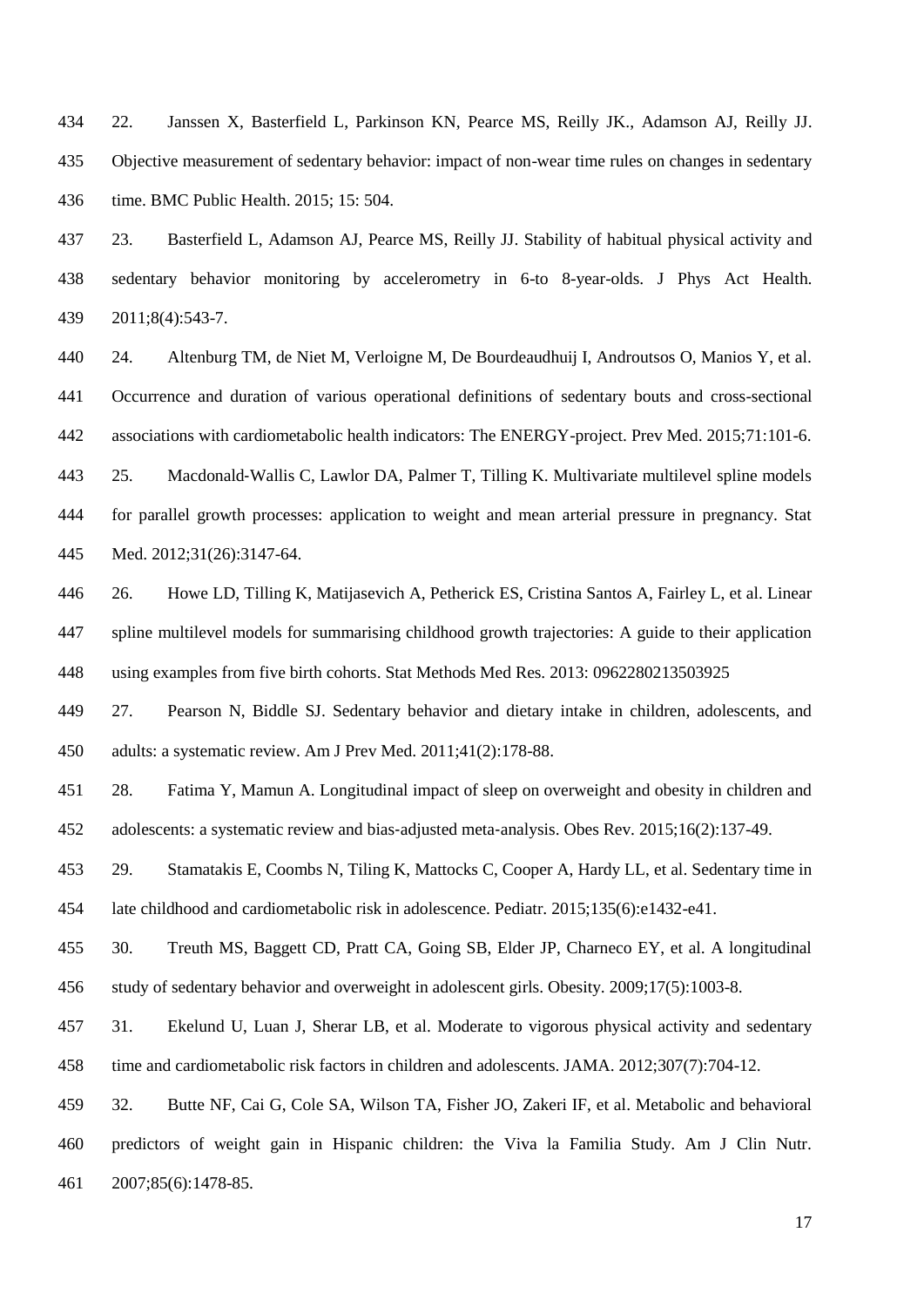22. Janssen X, Basterfield L, Parkinson KN, Pearce MS, Reilly JK., Adamson AJ, Reilly JJ. Objective measurement of sedentary behavior: impact of non-wear time rules on changes in sedentary time. BMC Public Health. 2015; 15: 504.

 23. Basterfield L, Adamson AJ, Pearce MS, Reilly JJ. Stability of habitual physical activity and sedentary behavior monitoring by accelerometry in 6-to 8-year-olds. J Phys Act Health. 2011;8(4):543-7.

 24. Altenburg TM, de Niet M, Verloigne M, De Bourdeaudhuij I, Androutsos O, Manios Y, et al. Occurrence and duration of various operational definitions of sedentary bouts and cross-sectional associations with cardiometabolic health indicators: The ENERGY-project. Prev Med. 2015;71:101-6. 25. Macdonald‐Wallis C, Lawlor DA, Palmer T, Tilling K. Multivariate multilevel spline models for parallel growth processes: application to weight and mean arterial pressure in pregnancy. Stat Med. 2012;31(26):3147-64.

 26. Howe LD, Tilling K, Matijasevich A, Petherick ES, Cristina Santos A, Fairley L, et al. Linear spline multilevel models for summarising childhood growth trajectories: A guide to their application using examples from five birth cohorts. Stat Methods Med Res. 2013: 0962280213503925

 27. Pearson N, Biddle SJ. Sedentary behavior and dietary intake in children, adolescents, and adults: a systematic review. Am J Prev Med. 2011;41(2):178-88.

 28. Fatima Y, Mamun A. Longitudinal impact of sleep on overweight and obesity in children and adolescents: a systematic review and bias‐adjusted meta‐analysis. Obes Rev. 2015;16(2):137-49.

 29. Stamatakis E, Coombs N, Tiling K, Mattocks C, Cooper A, Hardy LL, et al. Sedentary time in late childhood and cardiometabolic risk in adolescence. Pediatr. 2015;135(6):e1432-e41.

 30. Treuth MS, Baggett CD, Pratt CA, Going SB, Elder JP, Charneco EY, et al. A longitudinal study of sedentary behavior and overweight in adolescent girls. Obesity. 2009;17(5):1003-8.

 31. Ekelund U, Luan J, Sherar LB, et al. Moderate to vigorous physical activity and sedentary time and cardiometabolic risk factors in children and adolescents. JAMA. 2012;307(7):704-12.

 32. Butte NF, Cai G, Cole SA, Wilson TA, Fisher JO, Zakeri IF, et al. Metabolic and behavioral predictors of weight gain in Hispanic children: the Viva la Familia Study. Am J Clin Nutr. 2007;85(6):1478-85.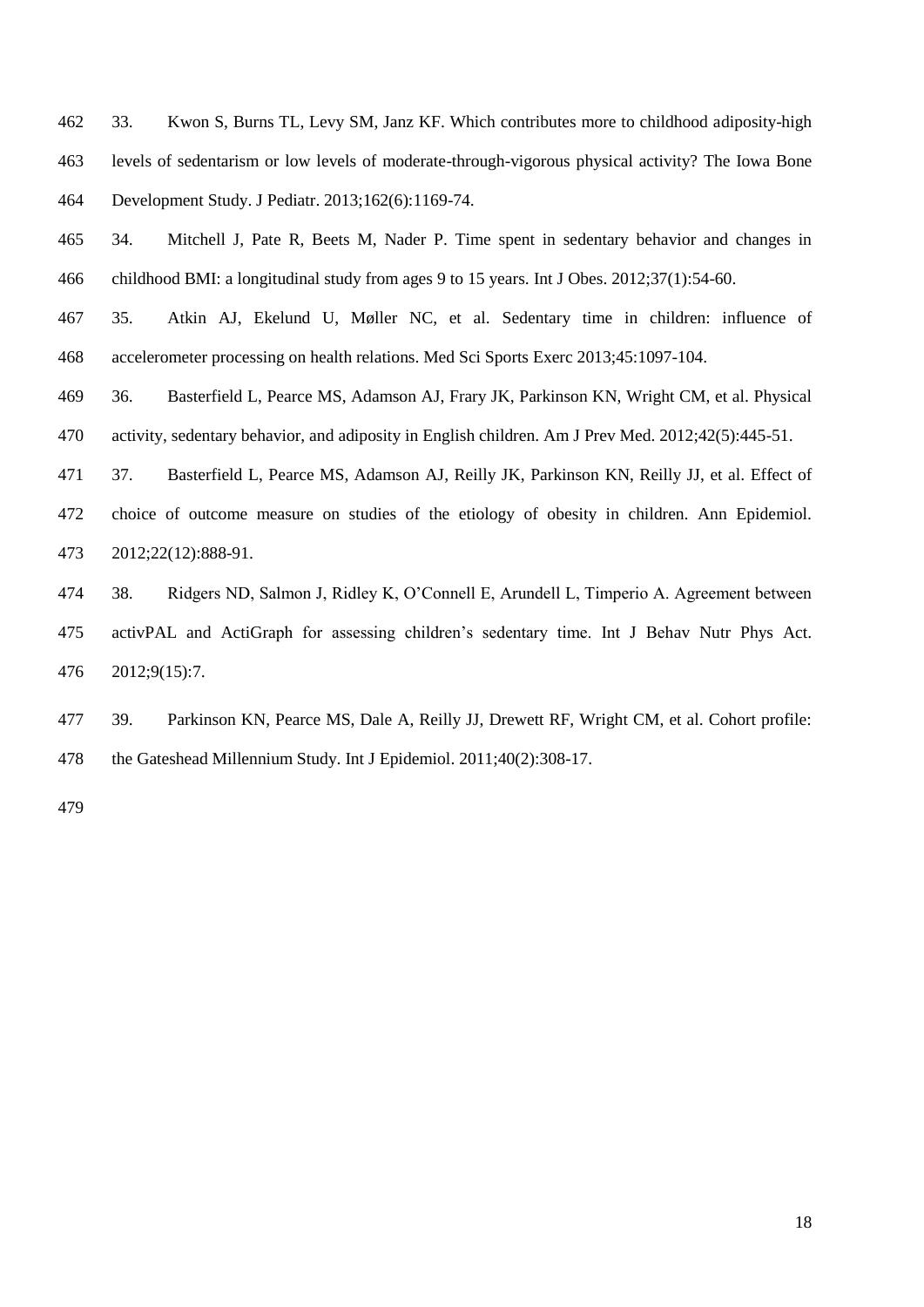33. Kwon S, Burns TL, Levy SM, Janz KF. Which contributes more to childhood adiposity-high levels of sedentarism or low levels of moderate-through-vigorous physical activity? The Iowa Bone Development Study. J Pediatr. 2013;162(6):1169-74.

- 34. Mitchell J, Pate R, Beets M, Nader P. Time spent in sedentary behavior and changes in childhood BMI: a longitudinal study from ages 9 to 15 years. Int J Obes. 2012;37(1):54-60.
- 35. Atkin AJ, Ekelund U, Møller NC, et al. Sedentary time in children: influence of accelerometer processing on health relations. Med Sci Sports Exerc 2013;45:1097-104.
- 36. Basterfield L, Pearce MS, Adamson AJ, Frary JK, Parkinson KN, Wright CM, et al. Physical activity, sedentary behavior, and adiposity in English children. Am J Prev Med. 2012;42(5):445-51.
- 37. Basterfield L, Pearce MS, Adamson AJ, Reilly JK, Parkinson KN, Reilly JJ, et al. Effect of choice of outcome measure on studies of the etiology of obesity in children. Ann Epidemiol. 2012;22(12):888-91.
- 38. Ridgers ND, Salmon J, Ridley K, O'Connell E, Arundell L, Timperio A. Agreement between activPAL and ActiGraph for assessing children's sedentary time. Int J Behav Nutr Phys Act. 2012;9(15):7.
- 39. Parkinson KN, Pearce MS, Dale A, Reilly JJ, Drewett RF, Wright CM, et al. Cohort profile: the Gateshead Millennium Study. Int J Epidemiol. 2011;40(2):308-17.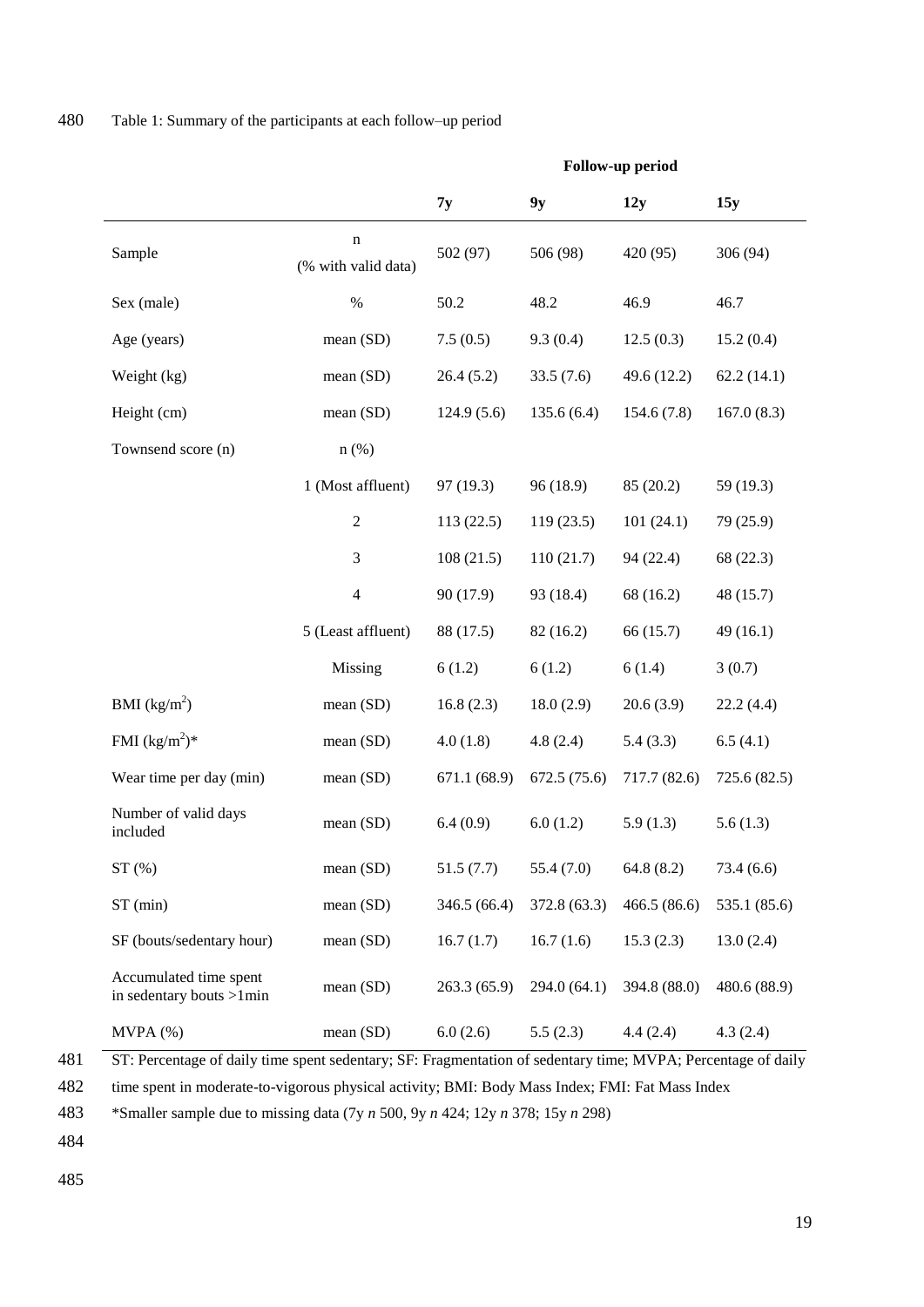|                                                    |                          | r onow-up periou |              |              |              |
|----------------------------------------------------|--------------------------|------------------|--------------|--------------|--------------|
|                                                    |                          | 7y               | 9y           | 12y          | 15y          |
| Sample                                             | n<br>(% with valid data) | 502 (97)         | 506 (98)     | 420 (95)     | 306(94)      |
| Sex (male)                                         | $\%$                     | 50.2             | 48.2         | 46.9         | 46.7         |
| Age (years)                                        | mean (SD)                | 7.5(0.5)         | 9.3(0.4)     | 12.5(0.3)    | 15.2(0.4)    |
| Weight (kg)                                        | mean (SD)                | 26.4(5.2)        | 33.5(7.6)    | 49.6 (12.2)  | 62.2(14.1)   |
| Height (cm)                                        | mean (SD)                | 124.9(5.6)       | 135.6(6.4)   | 154.6(7.8)   | 167.0(8.3)   |
| Townsend score (n)                                 | $n$ (%)                  |                  |              |              |              |
|                                                    | 1 (Most affluent)        | 97 (19.3)        | 96 (18.9)    | 85 (20.2)    | 59 (19.3)    |
|                                                    | $\sqrt{2}$               | 113(22.5)        | 119(23.5)    | 101(24.1)    | 79 (25.9)    |
|                                                    | $\mathfrak{Z}$           | 108(21.5)        | 110(21.7)    | 94 (22.4)    | 68 (22.3)    |
|                                                    | $\overline{4}$           | 90 (17.9)        | 93 (18.4)    | 68 (16.2)    | 48 (15.7)    |
|                                                    | 5 (Least affluent)       | 88 (17.5)        | 82 (16.2)    | 66 (15.7)    | 49(16.1)     |
|                                                    | Missing                  | 6(1.2)           | 6(1.2)       | 6(1.4)       | 3(0.7)       |
| BMI $(kg/m^2)$                                     | mean(SD)                 | 16.8(2.3)        | 18.0(2.9)    | 20.6(3.9)    | 22.2(4.4)    |
| FMI $(kg/m^2)^*$                                   | mean (SD)                | 4.0(1.8)         | 4.8(2.4)     | 5.4(3.3)     | 6.5(4.1)     |
| Wear time per day (min)                            | mean(SD)                 | 671.1 (68.9)     | 672.5(75.6)  | 717.7 (82.6) | 725.6 (82.5) |
| Number of valid days<br>included                   | mean (SD)                | 6.4(0.9)         | 6.0(1.2)     | 5.9(1.3)     | 5.6(1.3)     |
| ST(%)                                              | mean (SD)                | 51.5(7.7)        | 55.4(7.0)    | 64.8(8.2)    | 73.4 (6.6)   |
| ST (min)                                           | mean(SD)                 | 346.5 (66.4)     | 372.8 (63.3) | 466.5(86.6)  | 535.1 (85.6) |
| SF (bouts/sedentary hour)                          | mean(SD)                 | 16.7(1.7)        | 16.7(1.6)    | 15.3(2.3)    | 13.0(2.4)    |
| Accumulated time spent<br>in sedentary bouts >1min | mean(SD)                 | 263.3(65.9)      | 294.0 (64.1) | 394.8 (88.0) | 480.6 (88.9) |
| MVPA (%)                                           | mean (SD)                | 6.0(2.6)         | 5.5(2.3)     | 4.4(2.4)     | 4.3(2.4)     |

**Follow-up period**

481 ST: Percentage of daily time spent sedentary; SF: Fragmentation of sedentary time; MVPA; Percentage of daily

482 time spent in moderate-to-vigorous physical activity; BMI: Body Mass Index; FMI: Fat Mass Index

483 \*Smaller sample due to missing data (7y *n* 500, 9y *n* 424; 12y *n* 378; 15y *n* 298)

484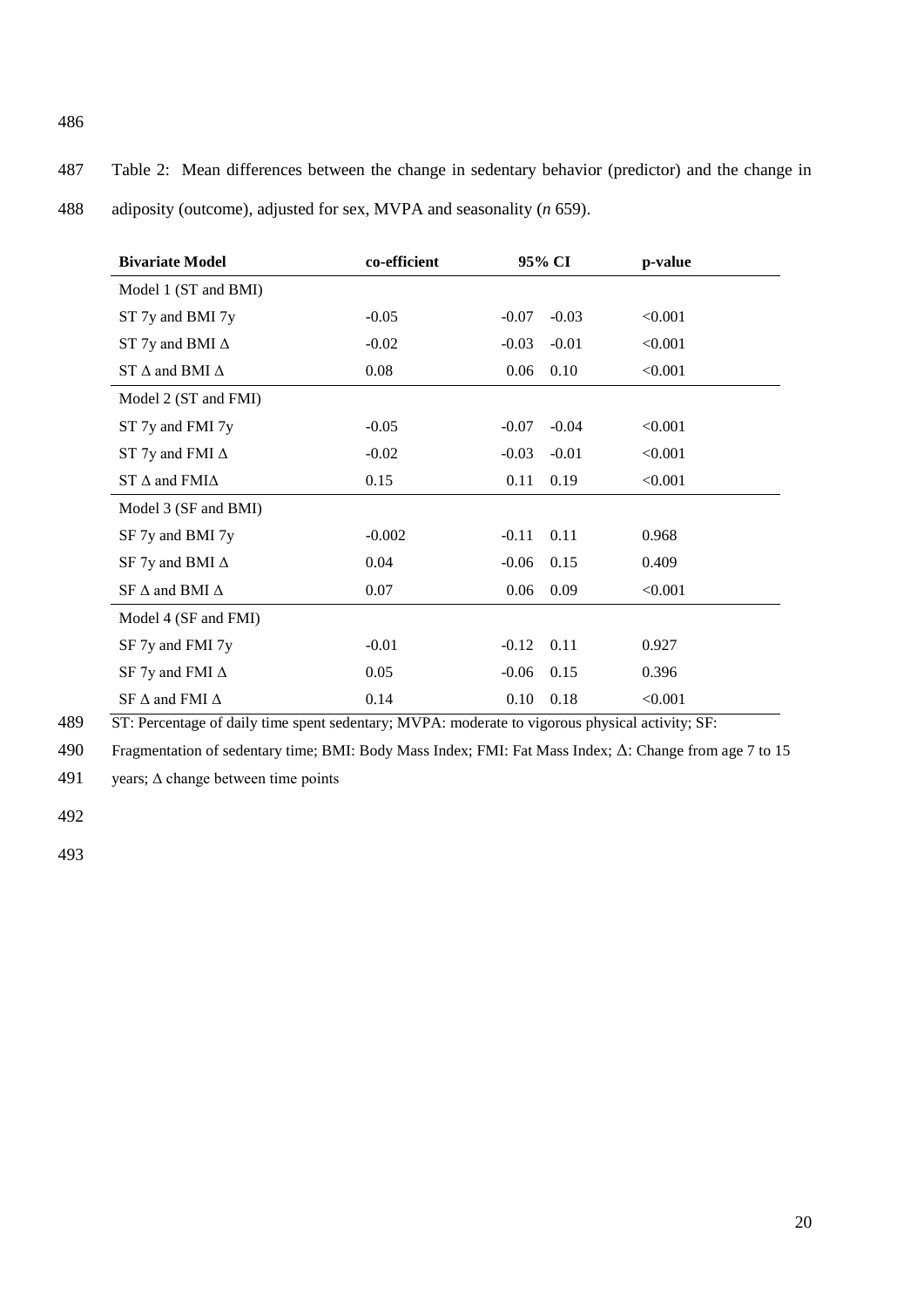487 Table 2: Mean differences between the change in sedentary behavior (predictor) and the change in 488 adiposity (outcome), adjusted for sex, MVPA and seasonality (*n* 659).

| <b>Bivariate Model</b>       | co-efficient | 95% CI             | p-value |
|------------------------------|--------------|--------------------|---------|
| Model 1 (ST and BMI)         |              |                    |         |
| ST 7y and BMI 7y             | $-0.05$      | $-0.03$<br>$-0.07$ | < 0.001 |
| ST 7y and BMI $\Delta$       | $-0.02$      | $-0.01$<br>$-0.03$ | < 0.001 |
| ST $\Delta$ and BMI $\Delta$ | 0.08         | 0.06<br>0.10       | < 0.001 |
| Model 2 (ST and FMI)         |              |                    |         |
| ST 7y and FMI 7y             | $-0.05$      | $-0.04$<br>$-0.07$ | < 0.001 |
| ST 7y and FMI $\Delta$       | $-0.02$      | $-0.01$<br>$-0.03$ | < 0.001 |
| ST $\Delta$ and FMI $\Delta$ | 0.15         | 0.19<br>0.11       | < 0.001 |
| Model 3 (SF and BMI)         |              |                    |         |
| SF 7y and BMI 7y             | $-0.002$     | 0.11<br>$-0.11$    | 0.968   |
| SF 7y and BMI $\Delta$       | 0.04         | 0.15<br>$-0.06$    | 0.409   |
| SF $\Delta$ and BMI $\Delta$ | 0.07         | 0.09<br>0.06       | < 0.001 |
| Model 4 (SF and FMI)         |              |                    |         |
| SF 7y and FMI 7y             | $-0.01$      | 0.11<br>$-0.12$    | 0.927   |
| SF 7y and FMI $\Delta$       | 0.05         | 0.15<br>$-0.06$    | 0.396   |
| SF $\Delta$ and FMI $\Delta$ | 0.14         | 0.10<br>0.18       | < 0.001 |

489 ST: Percentage of daily time spent sedentary; MVPA: moderate to vigorous physical activity; SF:

490 Fragmentation of sedentary time; BMI: Body Mass Index; FMI: Fat Mass Index; Δ: Change from age 7 to 15

491 years;  $\triangle$  change between time points

492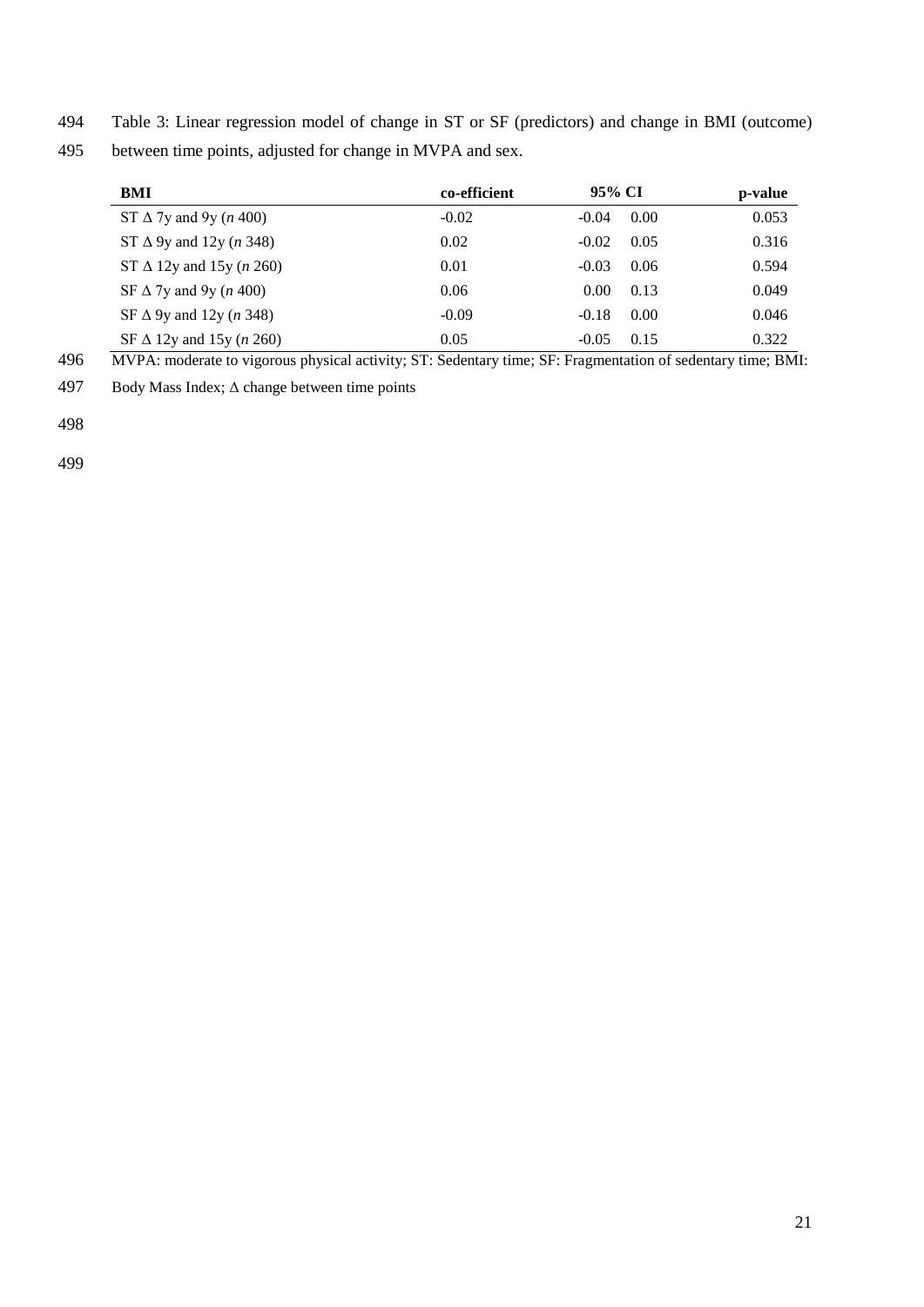494 Table 3: Linear regression model of change in ST or SF (predictors) and change in BMI (outcome)

495 between time points, adjusted for change in MVPA and sex.

| BMI                                     | co-efficient | 95% CI  |      | p-value |
|-----------------------------------------|--------------|---------|------|---------|
| ST $\Delta$ 7y and 9y ( <i>n</i> 400)   | $-0.02$      | $-0.04$ | 0.00 | 0.053   |
| ST $\Delta$ 9y and 12y ( <i>n</i> 348)  | 0.02         | $-0.02$ | 0.05 | 0.316   |
| ST $\Delta$ 12y and 15y ( <i>n</i> 260) | 0.01         | $-0.03$ | 0.06 | 0.594   |
| SF $\Delta$ 7y and 9y ( <i>n</i> 400)   | 0.06         | 0.00    | 0.13 | 0.049   |
| SF $\Delta$ 9y and 12y ( <i>n</i> 348)  | $-0.09$      | $-0.18$ | 0.00 | 0.046   |
| SF $\Delta$ 12y and 15y ( <i>n</i> 260) | 0.05         | $-0.05$ | 0.15 | 0.322   |

496 MVPA: moderate to vigorous physical activity; ST: Sedentary time; SF: Fragmentation of sedentary time; BMI:

497 Body Mass Index;  $\triangle$  change between time points

498